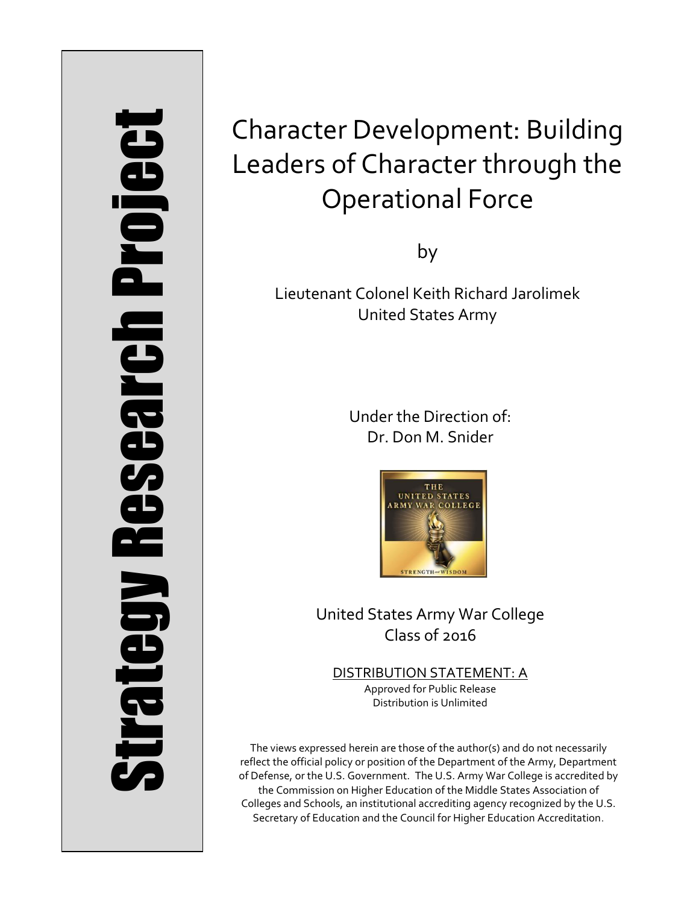# Strategy Research Project **Strategy Research Project**

# Character Development: Building Leaders of Character through the Operational Force

by

Lieutenant Colonel Keith Richard Jarolimek United States Army

> Under the Direction of: Dr. Don M. Snider



United States Army War College Class of 2016

DISTRIBUTION STATEMENT: A Approved for Public Release Distribution is Unlimited

The views expressed herein are those of the author(s) and do not necessarily reflect the official policy or position of the Department of the Army, Department of Defense, or the U.S. Government. The U.S. Army War College is accredited by the Commission on Higher Education of the Middle States Association of Colleges and Schools, an institutional accrediting agency recognized by the U.S. Secretary of Education and the Council for Higher Education Accreditation.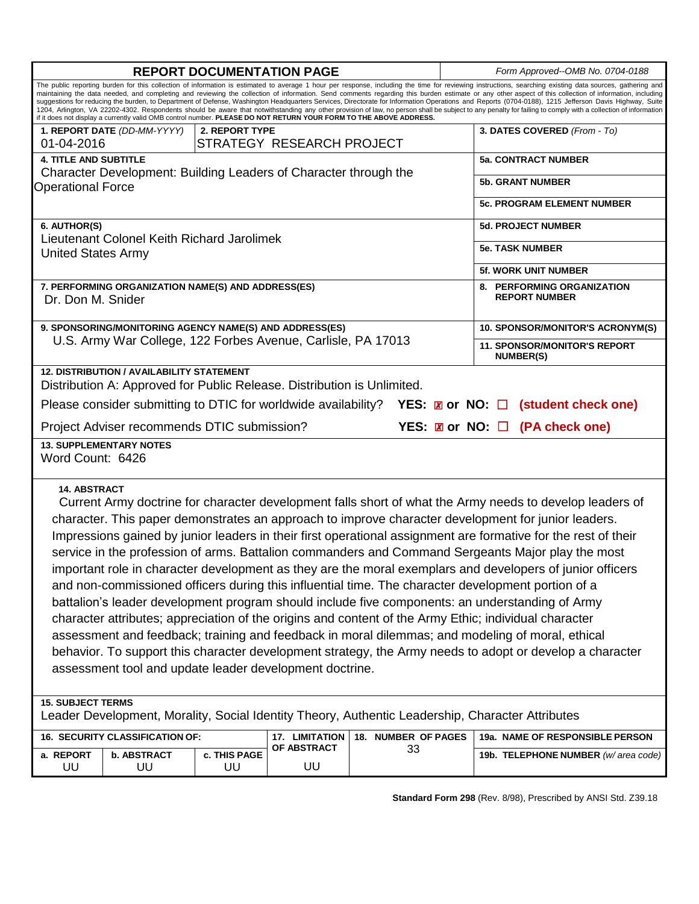| The public reporting burden for this collection of information is estimated to average 1 hour per response, including the time for reviewing instructions, searching existing data sources, gathering and<br>maintaining the data needed, and completing and reviewing the collection of information. Send comments regarding this burden estimate or any other aspect of this collection of information, including<br>suggestions for reducing the burden, to Department of Defense, Washington Headquarters Services, Directorate for Information Operations and Reports (0704-0188), 1215 Jefferson Davis Highway, Suite<br>1204, Arlington, VA 22202-4302. Respondents should be aware that notwithstanding any other provision of law, no person shall be subject to any penalty for failing to comply with a collection of information<br>if it does not display a currently valid OMB control number. PLEASE DO NOT RETURN YOUR FORM TO THE ABOVE ADDRESS.<br>3. DATES COVERED (From - To)<br>1. REPORT DATE (DD-MM-YYYY)<br>2. REPORT TYPE<br>STRATEGY RESEARCH PROJECT<br>01-04-2016<br><b>4. TITLE AND SUBTITLE</b><br><b>5a. CONTRACT NUMBER</b><br>Character Development: Building Leaders of Character through the<br><b>5b. GRANT NUMBER</b><br>Operational Force<br><b>5c. PROGRAM ELEMENT NUMBER</b><br>6. AUTHOR(S)<br><b>5d. PROJECT NUMBER</b><br>Lieutenant Colonel Keith Richard Jarolimek<br><b>5e. TASK NUMBER</b><br><b>United States Army</b><br><b>5f. WORK UNIT NUMBER</b><br>7. PERFORMING ORGANIZATION NAME(S) AND ADDRESS(ES)<br>8. PERFORMING ORGANIZATION<br><b>REPORT NUMBER</b><br>Dr. Don M. Snider<br>9. SPONSORING/MONITORING AGENCY NAME(S) AND ADDRESS(ES)<br>10. SPONSOR/MONITOR'S ACRONYM(S)<br>U.S. Army War College, 122 Forbes Avenue, Carlisle, PA 17013<br><b>11. SPONSOR/MONITOR'S REPORT</b><br><b>NUMBER(S)</b><br><b>12. DISTRIBUTION / AVAILABILITY STATEMENT</b><br>Distribution A: Approved for Public Release. Distribution is Unlimited.<br>Please consider submitting to DTIC for worldwide availability? YES: $\boxtimes$ or NO: $\Box$ (student check one)<br>YES: <b>Z</b> or NO: □ (PA check one)<br>Project Adviser recommends DTIC submission?<br><b>13. SUPPLEMENTARY NOTES</b><br>Word Count: 6426<br>14. ABSTRACT<br>Current Army doctrine for character development falls short of what the Army needs to develop leaders of<br>character. This paper demonstrates an approach to improve character development for junior leaders.<br>Impressions gained by junior leaders in their first operational assignment are formative for the rest of their<br>service in the profession of arms. Battalion commanders and Command Sergeants Major play the most<br>important role in character development as they are the moral exemplars and developers of junior officers<br>and non-commissioned officers during this influential time. The character development portion of a<br>battalion's leader development program should include five components: an understanding of Army<br>character attributes; appreciation of the origins and content of the Army Ethic; individual character<br>assessment and feedback; training and feedback in moral dilemmas; and modeling of moral, ethical<br>behavior. To support this character development strategy, the Army needs to adopt or develop a character<br>assessment tool and update leader development doctrine.<br><b>15. SUBJECT TERMS</b><br>Leader Development, Morality, Social Identity Theory, Authentic Leadership, Character Attributes<br>18. NUMBER OF PAGES<br><b>16. SECURITY CLASSIFICATION OF:</b><br>17. LIMITATION<br>19a. NAME OF RESPONSIBLE PERSON<br><b>OF ABSTRACT</b><br>33<br>c. THIS PAGE<br>a. REPORT<br><b>b. ABSTRACT</b><br>19b. TELEPHONE NUMBER (w/area code)<br>UU<br>UU<br>UU<br>UU | <b>REPORT DOCUMENTATION PAGE</b> |  |  |  | Form Approved--OMB No. 0704-0188 |  |  |
|--------------------------------------------------------------------------------------------------------------------------------------------------------------------------------------------------------------------------------------------------------------------------------------------------------------------------------------------------------------------------------------------------------------------------------------------------------------------------------------------------------------------------------------------------------------------------------------------------------------------------------------------------------------------------------------------------------------------------------------------------------------------------------------------------------------------------------------------------------------------------------------------------------------------------------------------------------------------------------------------------------------------------------------------------------------------------------------------------------------------------------------------------------------------------------------------------------------------------------------------------------------------------------------------------------------------------------------------------------------------------------------------------------------------------------------------------------------------------------------------------------------------------------------------------------------------------------------------------------------------------------------------------------------------------------------------------------------------------------------------------------------------------------------------------------------------------------------------------------------------------------------------------------------------------------------------------------------------------------------------------------------------------------------------------------------------------------------------------------------------------------------------------------------------------------------------------------------------------------------------------------------------------------------------------------------------------------------------------------------------------------------------------------------------------------------------------------------------------------------------------------------------------------------------------------------------------------------------------------------------------------------------------------------------------------------------------------------------------------------------------------------------------------------------------------------------------------------------------------------------------------------------------------------------------------------------------------------------------------------------------------------------------------------------------------------------------------------------------------------------------------------------------------------------------------------------------------------------------------------------------------------------------------------------------------------------------------------------------------------------------------------------------------------------------------------------------------------------------------------------------------------------------------------------------------------------------------------------------------------------------------------------------------------------------------------------------------------------------------------------------------------------------------------------------------------------------------------------|----------------------------------|--|--|--|----------------------------------|--|--|
|                                                                                                                                                                                                                                                                                                                                                                                                                                                                                                                                                                                                                                                                                                                                                                                                                                                                                                                                                                                                                                                                                                                                                                                                                                                                                                                                                                                                                                                                                                                                                                                                                                                                                                                                                                                                                                                                                                                                                                                                                                                                                                                                                                                                                                                                                                                                                                                                                                                                                                                                                                                                                                                                                                                                                                                                                                                                                                                                                                                                                                                                                                                                                                                                                                                                                                                                                                                                                                                                                                                                                                                                                                                                                                                                                                                                                                            |                                  |  |  |  |                                  |  |  |
|                                                                                                                                                                                                                                                                                                                                                                                                                                                                                                                                                                                                                                                                                                                                                                                                                                                                                                                                                                                                                                                                                                                                                                                                                                                                                                                                                                                                                                                                                                                                                                                                                                                                                                                                                                                                                                                                                                                                                                                                                                                                                                                                                                                                                                                                                                                                                                                                                                                                                                                                                                                                                                                                                                                                                                                                                                                                                                                                                                                                                                                                                                                                                                                                                                                                                                                                                                                                                                                                                                                                                                                                                                                                                                                                                                                                                                            |                                  |  |  |  |                                  |  |  |
|                                                                                                                                                                                                                                                                                                                                                                                                                                                                                                                                                                                                                                                                                                                                                                                                                                                                                                                                                                                                                                                                                                                                                                                                                                                                                                                                                                                                                                                                                                                                                                                                                                                                                                                                                                                                                                                                                                                                                                                                                                                                                                                                                                                                                                                                                                                                                                                                                                                                                                                                                                                                                                                                                                                                                                                                                                                                                                                                                                                                                                                                                                                                                                                                                                                                                                                                                                                                                                                                                                                                                                                                                                                                                                                                                                                                                                            |                                  |  |  |  |                                  |  |  |
|                                                                                                                                                                                                                                                                                                                                                                                                                                                                                                                                                                                                                                                                                                                                                                                                                                                                                                                                                                                                                                                                                                                                                                                                                                                                                                                                                                                                                                                                                                                                                                                                                                                                                                                                                                                                                                                                                                                                                                                                                                                                                                                                                                                                                                                                                                                                                                                                                                                                                                                                                                                                                                                                                                                                                                                                                                                                                                                                                                                                                                                                                                                                                                                                                                                                                                                                                                                                                                                                                                                                                                                                                                                                                                                                                                                                                                            |                                  |  |  |  |                                  |  |  |
|                                                                                                                                                                                                                                                                                                                                                                                                                                                                                                                                                                                                                                                                                                                                                                                                                                                                                                                                                                                                                                                                                                                                                                                                                                                                                                                                                                                                                                                                                                                                                                                                                                                                                                                                                                                                                                                                                                                                                                                                                                                                                                                                                                                                                                                                                                                                                                                                                                                                                                                                                                                                                                                                                                                                                                                                                                                                                                                                                                                                                                                                                                                                                                                                                                                                                                                                                                                                                                                                                                                                                                                                                                                                                                                                                                                                                                            |                                  |  |  |  |                                  |  |  |
|                                                                                                                                                                                                                                                                                                                                                                                                                                                                                                                                                                                                                                                                                                                                                                                                                                                                                                                                                                                                                                                                                                                                                                                                                                                                                                                                                                                                                                                                                                                                                                                                                                                                                                                                                                                                                                                                                                                                                                                                                                                                                                                                                                                                                                                                                                                                                                                                                                                                                                                                                                                                                                                                                                                                                                                                                                                                                                                                                                                                                                                                                                                                                                                                                                                                                                                                                                                                                                                                                                                                                                                                                                                                                                                                                                                                                                            |                                  |  |  |  |                                  |  |  |
|                                                                                                                                                                                                                                                                                                                                                                                                                                                                                                                                                                                                                                                                                                                                                                                                                                                                                                                                                                                                                                                                                                                                                                                                                                                                                                                                                                                                                                                                                                                                                                                                                                                                                                                                                                                                                                                                                                                                                                                                                                                                                                                                                                                                                                                                                                                                                                                                                                                                                                                                                                                                                                                                                                                                                                                                                                                                                                                                                                                                                                                                                                                                                                                                                                                                                                                                                                                                                                                                                                                                                                                                                                                                                                                                                                                                                                            |                                  |  |  |  |                                  |  |  |
|                                                                                                                                                                                                                                                                                                                                                                                                                                                                                                                                                                                                                                                                                                                                                                                                                                                                                                                                                                                                                                                                                                                                                                                                                                                                                                                                                                                                                                                                                                                                                                                                                                                                                                                                                                                                                                                                                                                                                                                                                                                                                                                                                                                                                                                                                                                                                                                                                                                                                                                                                                                                                                                                                                                                                                                                                                                                                                                                                                                                                                                                                                                                                                                                                                                                                                                                                                                                                                                                                                                                                                                                                                                                                                                                                                                                                                            |                                  |  |  |  |                                  |  |  |
|                                                                                                                                                                                                                                                                                                                                                                                                                                                                                                                                                                                                                                                                                                                                                                                                                                                                                                                                                                                                                                                                                                                                                                                                                                                                                                                                                                                                                                                                                                                                                                                                                                                                                                                                                                                                                                                                                                                                                                                                                                                                                                                                                                                                                                                                                                                                                                                                                                                                                                                                                                                                                                                                                                                                                                                                                                                                                                                                                                                                                                                                                                                                                                                                                                                                                                                                                                                                                                                                                                                                                                                                                                                                                                                                                                                                                                            |                                  |  |  |  |                                  |  |  |
|                                                                                                                                                                                                                                                                                                                                                                                                                                                                                                                                                                                                                                                                                                                                                                                                                                                                                                                                                                                                                                                                                                                                                                                                                                                                                                                                                                                                                                                                                                                                                                                                                                                                                                                                                                                                                                                                                                                                                                                                                                                                                                                                                                                                                                                                                                                                                                                                                                                                                                                                                                                                                                                                                                                                                                                                                                                                                                                                                                                                                                                                                                                                                                                                                                                                                                                                                                                                                                                                                                                                                                                                                                                                                                                                                                                                                                            |                                  |  |  |  |                                  |  |  |
|                                                                                                                                                                                                                                                                                                                                                                                                                                                                                                                                                                                                                                                                                                                                                                                                                                                                                                                                                                                                                                                                                                                                                                                                                                                                                                                                                                                                                                                                                                                                                                                                                                                                                                                                                                                                                                                                                                                                                                                                                                                                                                                                                                                                                                                                                                                                                                                                                                                                                                                                                                                                                                                                                                                                                                                                                                                                                                                                                                                                                                                                                                                                                                                                                                                                                                                                                                                                                                                                                                                                                                                                                                                                                                                                                                                                                                            |                                  |  |  |  |                                  |  |  |
|                                                                                                                                                                                                                                                                                                                                                                                                                                                                                                                                                                                                                                                                                                                                                                                                                                                                                                                                                                                                                                                                                                                                                                                                                                                                                                                                                                                                                                                                                                                                                                                                                                                                                                                                                                                                                                                                                                                                                                                                                                                                                                                                                                                                                                                                                                                                                                                                                                                                                                                                                                                                                                                                                                                                                                                                                                                                                                                                                                                                                                                                                                                                                                                                                                                                                                                                                                                                                                                                                                                                                                                                                                                                                                                                                                                                                                            |                                  |  |  |  |                                  |  |  |
|                                                                                                                                                                                                                                                                                                                                                                                                                                                                                                                                                                                                                                                                                                                                                                                                                                                                                                                                                                                                                                                                                                                                                                                                                                                                                                                                                                                                                                                                                                                                                                                                                                                                                                                                                                                                                                                                                                                                                                                                                                                                                                                                                                                                                                                                                                                                                                                                                                                                                                                                                                                                                                                                                                                                                                                                                                                                                                                                                                                                                                                                                                                                                                                                                                                                                                                                                                                                                                                                                                                                                                                                                                                                                                                                                                                                                                            |                                  |  |  |  |                                  |  |  |
|                                                                                                                                                                                                                                                                                                                                                                                                                                                                                                                                                                                                                                                                                                                                                                                                                                                                                                                                                                                                                                                                                                                                                                                                                                                                                                                                                                                                                                                                                                                                                                                                                                                                                                                                                                                                                                                                                                                                                                                                                                                                                                                                                                                                                                                                                                                                                                                                                                                                                                                                                                                                                                                                                                                                                                                                                                                                                                                                                                                                                                                                                                                                                                                                                                                                                                                                                                                                                                                                                                                                                                                                                                                                                                                                                                                                                                            |                                  |  |  |  |                                  |  |  |
|                                                                                                                                                                                                                                                                                                                                                                                                                                                                                                                                                                                                                                                                                                                                                                                                                                                                                                                                                                                                                                                                                                                                                                                                                                                                                                                                                                                                                                                                                                                                                                                                                                                                                                                                                                                                                                                                                                                                                                                                                                                                                                                                                                                                                                                                                                                                                                                                                                                                                                                                                                                                                                                                                                                                                                                                                                                                                                                                                                                                                                                                                                                                                                                                                                                                                                                                                                                                                                                                                                                                                                                                                                                                                                                                                                                                                                            |                                  |  |  |  |                                  |  |  |
|                                                                                                                                                                                                                                                                                                                                                                                                                                                                                                                                                                                                                                                                                                                                                                                                                                                                                                                                                                                                                                                                                                                                                                                                                                                                                                                                                                                                                                                                                                                                                                                                                                                                                                                                                                                                                                                                                                                                                                                                                                                                                                                                                                                                                                                                                                                                                                                                                                                                                                                                                                                                                                                                                                                                                                                                                                                                                                                                                                                                                                                                                                                                                                                                                                                                                                                                                                                                                                                                                                                                                                                                                                                                                                                                                                                                                                            |                                  |  |  |  |                                  |  |  |
|                                                                                                                                                                                                                                                                                                                                                                                                                                                                                                                                                                                                                                                                                                                                                                                                                                                                                                                                                                                                                                                                                                                                                                                                                                                                                                                                                                                                                                                                                                                                                                                                                                                                                                                                                                                                                                                                                                                                                                                                                                                                                                                                                                                                                                                                                                                                                                                                                                                                                                                                                                                                                                                                                                                                                                                                                                                                                                                                                                                                                                                                                                                                                                                                                                                                                                                                                                                                                                                                                                                                                                                                                                                                                                                                                                                                                                            |                                  |  |  |  |                                  |  |  |
|                                                                                                                                                                                                                                                                                                                                                                                                                                                                                                                                                                                                                                                                                                                                                                                                                                                                                                                                                                                                                                                                                                                                                                                                                                                                                                                                                                                                                                                                                                                                                                                                                                                                                                                                                                                                                                                                                                                                                                                                                                                                                                                                                                                                                                                                                                                                                                                                                                                                                                                                                                                                                                                                                                                                                                                                                                                                                                                                                                                                                                                                                                                                                                                                                                                                                                                                                                                                                                                                                                                                                                                                                                                                                                                                                                                                                                            |                                  |  |  |  |                                  |  |  |
|                                                                                                                                                                                                                                                                                                                                                                                                                                                                                                                                                                                                                                                                                                                                                                                                                                                                                                                                                                                                                                                                                                                                                                                                                                                                                                                                                                                                                                                                                                                                                                                                                                                                                                                                                                                                                                                                                                                                                                                                                                                                                                                                                                                                                                                                                                                                                                                                                                                                                                                                                                                                                                                                                                                                                                                                                                                                                                                                                                                                                                                                                                                                                                                                                                                                                                                                                                                                                                                                                                                                                                                                                                                                                                                                                                                                                                            |                                  |  |  |  |                                  |  |  |
|                                                                                                                                                                                                                                                                                                                                                                                                                                                                                                                                                                                                                                                                                                                                                                                                                                                                                                                                                                                                                                                                                                                                                                                                                                                                                                                                                                                                                                                                                                                                                                                                                                                                                                                                                                                                                                                                                                                                                                                                                                                                                                                                                                                                                                                                                                                                                                                                                                                                                                                                                                                                                                                                                                                                                                                                                                                                                                                                                                                                                                                                                                                                                                                                                                                                                                                                                                                                                                                                                                                                                                                                                                                                                                                                                                                                                                            |                                  |  |  |  |                                  |  |  |

**Standard Form 298** (Rev. 8/98), Prescribed by ANSI Std. Z39.18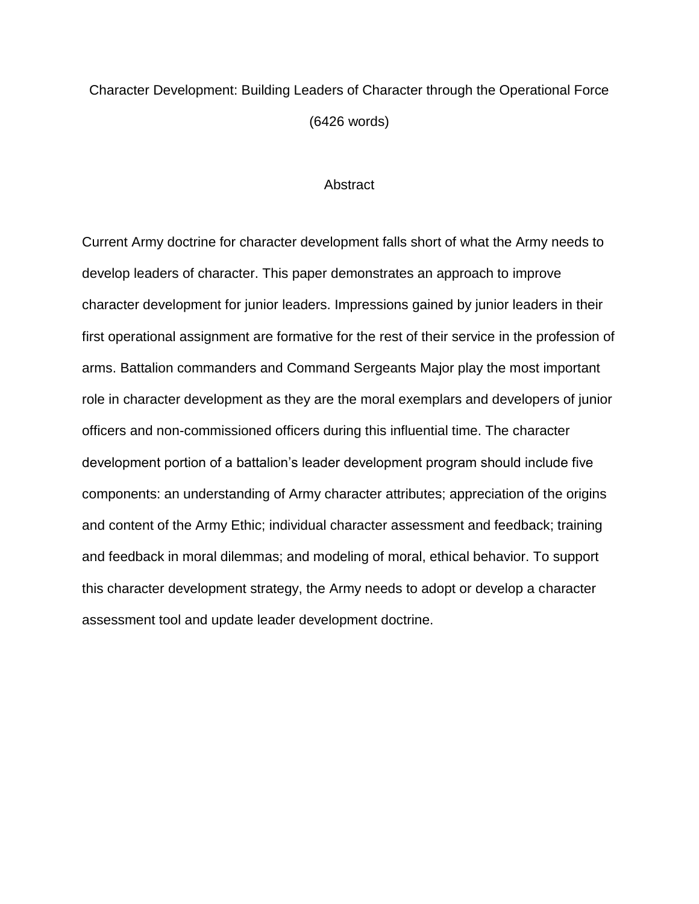## Character Development: Building Leaders of Character through the Operational Force (6426 words)

### **Abstract**

Current Army doctrine for character development falls short of what the Army needs to develop leaders of character. This paper demonstrates an approach to improve character development for junior leaders. Impressions gained by junior leaders in their first operational assignment are formative for the rest of their service in the profession of arms. Battalion commanders and Command Sergeants Major play the most important role in character development as they are the moral exemplars and developers of junior officers and non-commissioned officers during this influential time. The character development portion of a battalion's leader development program should include five components: an understanding of Army character attributes; appreciation of the origins and content of the Army Ethic; individual character assessment and feedback; training and feedback in moral dilemmas; and modeling of moral, ethical behavior. To support this character development strategy, the Army needs to adopt or develop a character assessment tool and update leader development doctrine.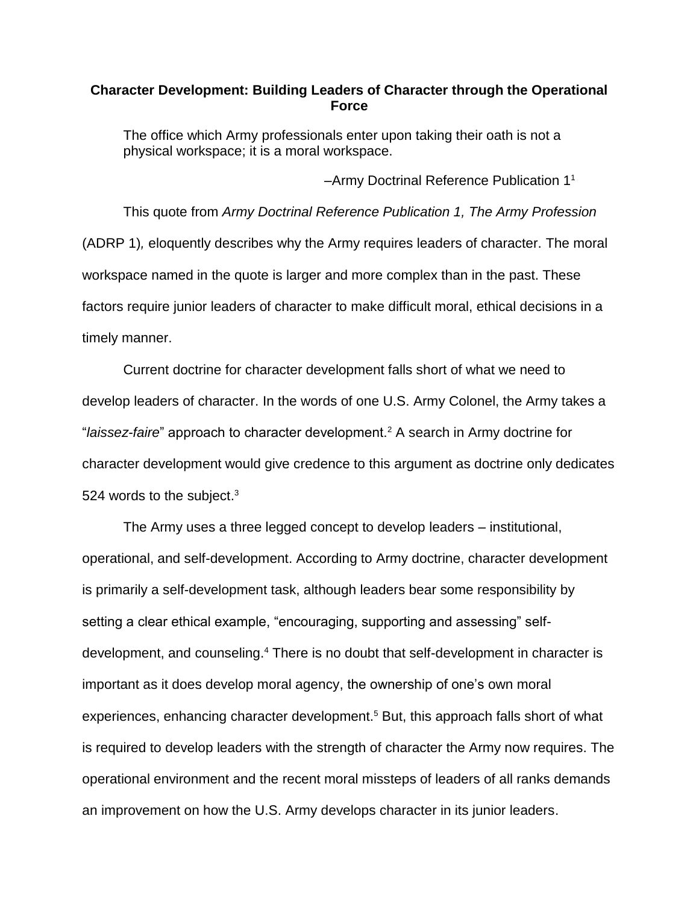### **Character Development: Building Leaders of Character through the Operational Force**

The office which Army professionals enter upon taking their oath is not a physical workspace; it is a moral workspace.

–Army Doctrinal Reference Publication 1<sup>1</sup>

This quote from *Army Doctrinal Reference Publication 1, The Army Profession* (ADRP 1)*,* eloquently describes why the Army requires leaders of character. The moral workspace named in the quote is larger and more complex than in the past. These factors require junior leaders of character to make difficult moral, ethical decisions in a timely manner.

Current doctrine for character development falls short of what we need to develop leaders of character. In the words of one U.S. Army Colonel, the Army takes a "*laissez-faire*" approach to character development.<sup>2</sup> A search in Army doctrine for character development would give credence to this argument as doctrine only dedicates 524 words to the subject.<sup>3</sup>

The Army uses a three legged concept to develop leaders – institutional, operational, and self-development. According to Army doctrine, character development is primarily a self-development task, although leaders bear some responsibility by setting a clear ethical example, "encouraging, supporting and assessing" selfdevelopment, and counseling.<sup>4</sup> There is no doubt that self-development in character is important as it does develop moral agency, the ownership of one's own moral experiences, enhancing character development.<sup>5</sup> But, this approach falls short of what is required to develop leaders with the strength of character the Army now requires. The operational environment and the recent moral missteps of leaders of all ranks demands an improvement on how the U.S. Army develops character in its junior leaders.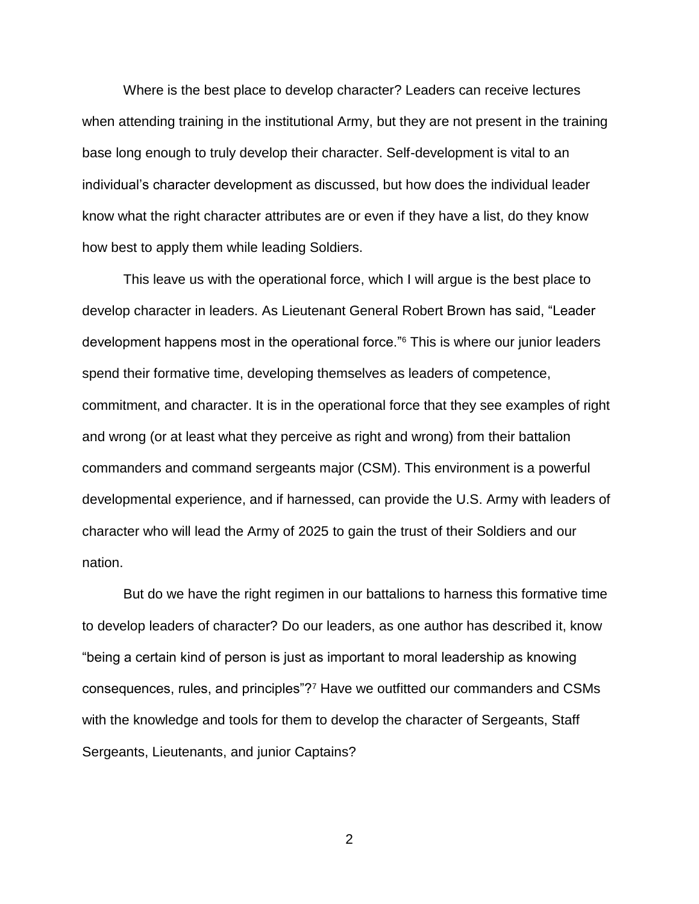Where is the best place to develop character? Leaders can receive lectures when attending training in the institutional Army, but they are not present in the training base long enough to truly develop their character. Self-development is vital to an individual's character development as discussed, but how does the individual leader know what the right character attributes are or even if they have a list, do they know how best to apply them while leading Soldiers.

This leave us with the operational force, which I will argue is the best place to develop character in leaders. As Lieutenant General Robert Brown has said, "Leader development happens most in the operational force."<sup>6</sup> This is where our junior leaders spend their formative time, developing themselves as leaders of competence, commitment, and character. It is in the operational force that they see examples of right and wrong (or at least what they perceive as right and wrong) from their battalion commanders and command sergeants major (CSM). This environment is a powerful developmental experience, and if harnessed, can provide the U.S. Army with leaders of character who will lead the Army of 2025 to gain the trust of their Soldiers and our nation.

But do we have the right regimen in our battalions to harness this formative time to develop leaders of character? Do our leaders, as one author has described it, know "being a certain kind of person is just as important to moral leadership as knowing consequences, rules, and principles"?<sup>7</sup> Have we outfitted our commanders and CSMs with the knowledge and tools for them to develop the character of Sergeants, Staff Sergeants, Lieutenants, and junior Captains?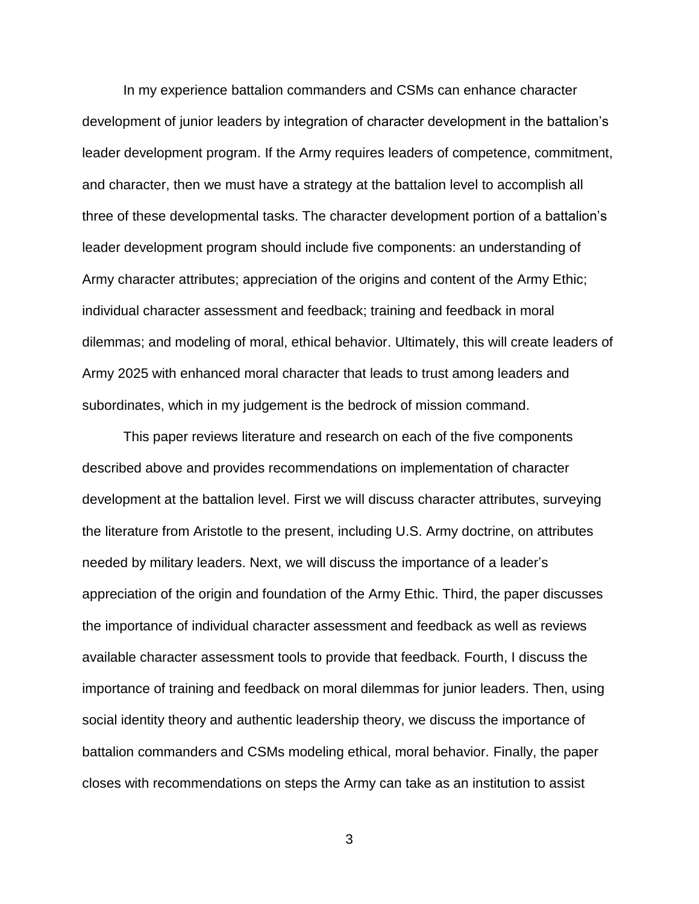In my experience battalion commanders and CSMs can enhance character development of junior leaders by integration of character development in the battalion's leader development program. If the Army requires leaders of competence, commitment, and character, then we must have a strategy at the battalion level to accomplish all three of these developmental tasks. The character development portion of a battalion's leader development program should include five components: an understanding of Army character attributes; appreciation of the origins and content of the Army Ethic; individual character assessment and feedback; training and feedback in moral dilemmas; and modeling of moral, ethical behavior. Ultimately, this will create leaders of Army 2025 with enhanced moral character that leads to trust among leaders and subordinates, which in my judgement is the bedrock of mission command.

This paper reviews literature and research on each of the five components described above and provides recommendations on implementation of character development at the battalion level. First we will discuss character attributes, surveying the literature from Aristotle to the present, including U.S. Army doctrine, on attributes needed by military leaders. Next, we will discuss the importance of a leader's appreciation of the origin and foundation of the Army Ethic. Third, the paper discusses the importance of individual character assessment and feedback as well as reviews available character assessment tools to provide that feedback. Fourth, I discuss the importance of training and feedback on moral dilemmas for junior leaders. Then, using social identity theory and authentic leadership theory, we discuss the importance of battalion commanders and CSMs modeling ethical, moral behavior. Finally, the paper closes with recommendations on steps the Army can take as an institution to assist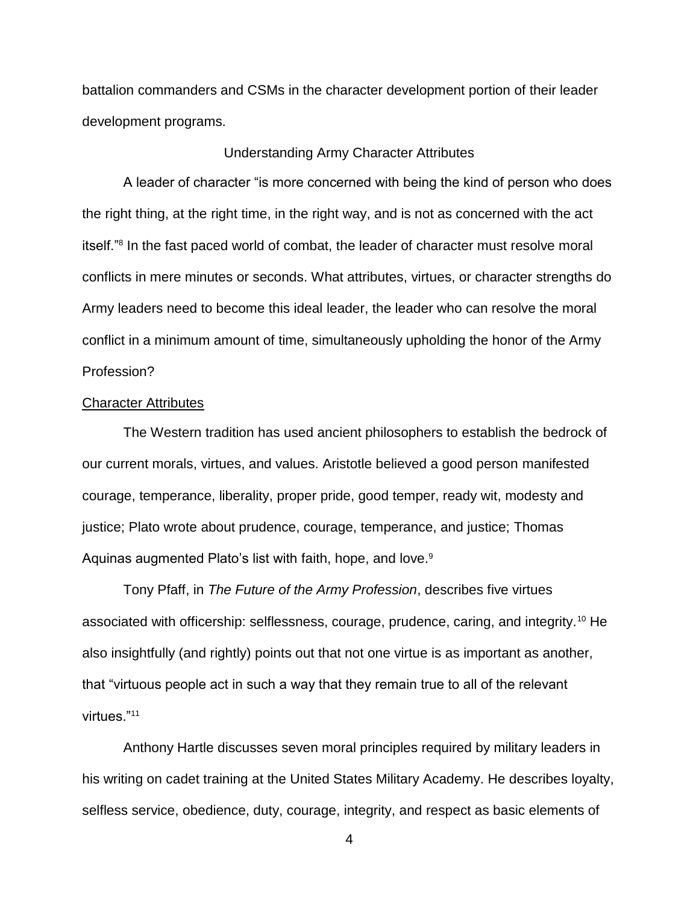battalion commanders and CSMs in the character development portion of their leader development programs.

### Understanding Army Character Attributes

A leader of character "is more concerned with being the kind of person who does the right thing, at the right time, in the right way, and is not as concerned with the act itself."<sup>8</sup> In the fast paced world of combat, the leader of character must resolve moral conflicts in mere minutes or seconds. What attributes, virtues, or character strengths do Army leaders need to become this ideal leader, the leader who can resolve the moral conflict in a minimum amount of time, simultaneously upholding the honor of the Army Profession?

### Character Attributes

The Western tradition has used ancient philosophers to establish the bedrock of our current morals, virtues, and values. Aristotle believed a good person manifested courage, temperance, liberality, proper pride, good temper, ready wit, modesty and justice; Plato wrote about prudence, courage, temperance, and justice; Thomas Aquinas augmented Plato's list with faith, hope, and love.<sup>9</sup>

Tony Pfaff, in *The Future of the Army Profession*, describes five virtues associated with officership: selflessness, courage, prudence, caring, and integrity.<sup>10</sup> He also insightfully (and rightly) points out that not one virtue is as important as another, that "virtuous people act in such a way that they remain true to all of the relevant virtues."<sup>11</sup>

Anthony Hartle discusses seven moral principles required by military leaders in his writing on cadet training at the United States Military Academy. He describes loyalty, selfless service, obedience, duty, courage, integrity, and respect as basic elements of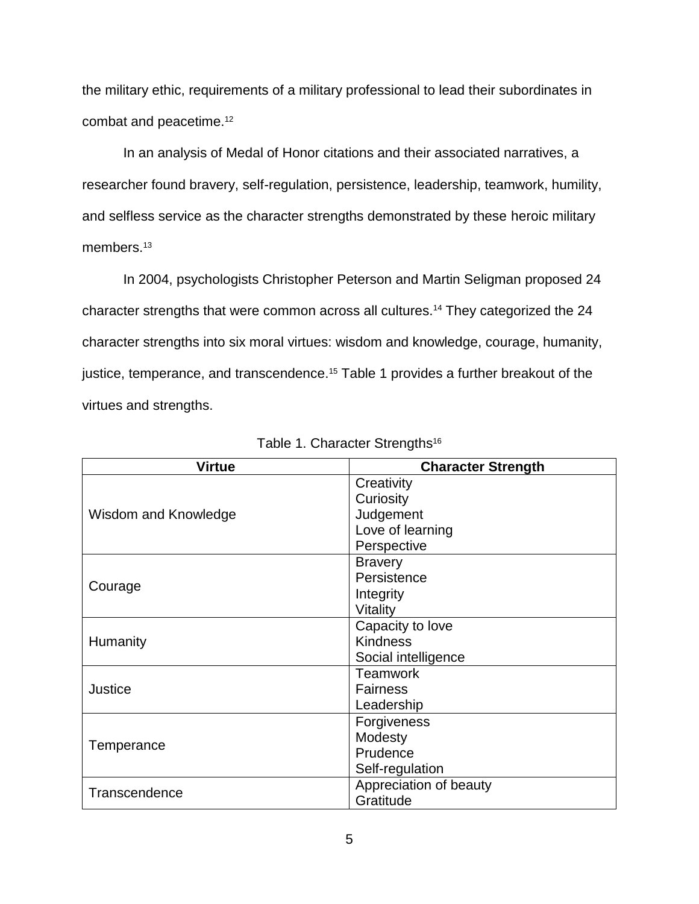the military ethic, requirements of a military professional to lead their subordinates in combat and peacetime.<sup>12</sup>

In an analysis of Medal of Honor citations and their associated narratives, a researcher found bravery, self-regulation, persistence, leadership, teamwork, humility, and selfless service as the character strengths demonstrated by these heroic military members.<sup>13</sup>

In 2004, psychologists Christopher Peterson and Martin Seligman proposed 24 character strengths that were common across all cultures.<sup>14</sup> They categorized the 24 character strengths into six moral virtues: wisdom and knowledge, courage, humanity, justice, temperance, and transcendence.<sup>15</sup> Table 1 provides a further breakout of the virtues and strengths.

| <b>Virtue</b>        | <b>Character Strength</b> |  |
|----------------------|---------------------------|--|
|                      | Creativity                |  |
|                      | Curiosity                 |  |
| Wisdom and Knowledge | Judgement                 |  |
|                      | Love of learning          |  |
|                      | Perspective               |  |
|                      | <b>Bravery</b>            |  |
|                      | Persistence               |  |
| Courage              | Integrity                 |  |
|                      | Vitality                  |  |
|                      | Capacity to love          |  |
| Humanity             | <b>Kindness</b>           |  |
|                      | Social intelligence       |  |
|                      | <b>Teamwork</b>           |  |
| <b>Justice</b>       | <b>Fairness</b>           |  |
|                      | Leadership                |  |
|                      | Forgiveness               |  |
|                      | Modesty                   |  |
| Temperance           | Prudence                  |  |
|                      | Self-regulation           |  |
|                      | Appreciation of beauty    |  |
| Transcendence        | Gratitude                 |  |

|  |  | Table 1. Character Strengths <sup>16</sup> |
|--|--|--------------------------------------------|
|--|--|--------------------------------------------|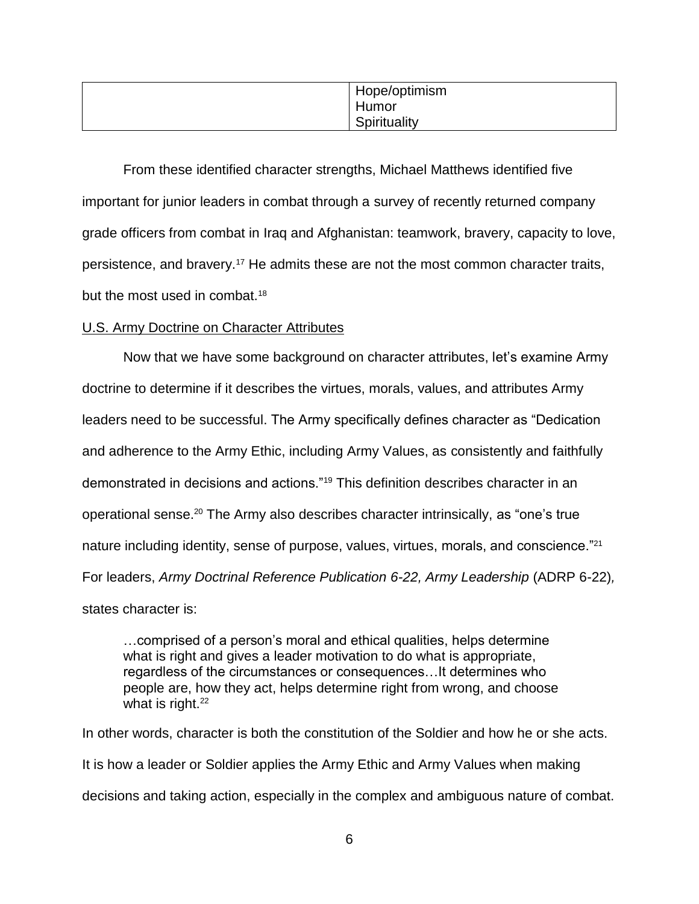| Hope/optimism<br>Humor |
|------------------------|
| Spirituality           |

From these identified character strengths, Michael Matthews identified five important for junior leaders in combat through a survey of recently returned company grade officers from combat in Iraq and Afghanistan: teamwork, bravery, capacity to love, persistence, and bravery.<sup>17</sup> He admits these are not the most common character traits, but the most used in combat.<sup>18</sup>

### U.S. Army Doctrine on Character Attributes

Now that we have some background on character attributes, let's examine Army doctrine to determine if it describes the virtues, morals, values, and attributes Army leaders need to be successful. The Army specifically defines character as "Dedication and adherence to the Army Ethic, including Army Values, as consistently and faithfully demonstrated in decisions and actions."<sup>19</sup> This definition describes character in an operational sense.<sup>20</sup> The Army also describes character intrinsically, as "one's true nature including identity, sense of purpose, values, virtues, morals, and conscience."<sup>21</sup> For leaders, *Army Doctrinal Reference Publication 6-22, Army Leadership* (ADRP 6-22)*,* states character is:

…comprised of a person's moral and ethical qualities, helps determine what is right and gives a leader motivation to do what is appropriate, regardless of the circumstances or consequences…It determines who people are, how they act, helps determine right from wrong, and choose what is right. $22$ 

In other words, character is both the constitution of the Soldier and how he or she acts. It is how a leader or Soldier applies the Army Ethic and Army Values when making decisions and taking action, especially in the complex and ambiguous nature of combat.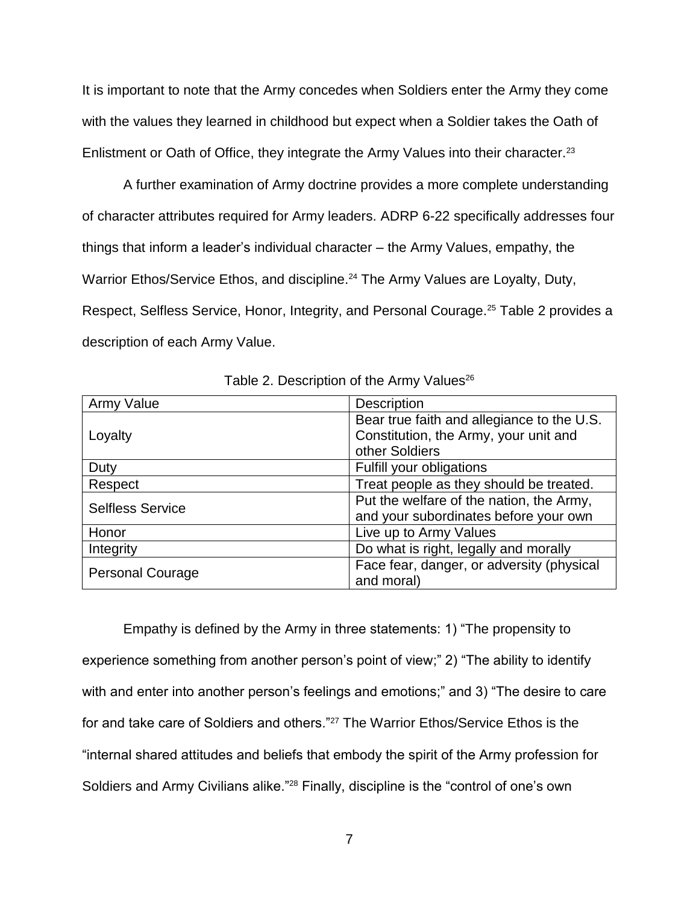It is important to note that the Army concedes when Soldiers enter the Army they come with the values they learned in childhood but expect when a Soldier takes the Oath of Enlistment or Oath of Office, they integrate the Army Values into their character.<sup>23</sup>

A further examination of Army doctrine provides a more complete understanding of character attributes required for Army leaders. ADRP 6-22 specifically addresses four things that inform a leader's individual character – the Army Values, empathy, the Warrior Ethos/Service Ethos, and discipline.<sup>24</sup> The Army Values are Loyalty, Duty, Respect, Selfless Service, Honor, Integrity, and Personal Courage.<sup>25</sup> Table 2 provides a description of each Army Value.

| Army Value              | Description                                |  |  |
|-------------------------|--------------------------------------------|--|--|
|                         | Bear true faith and allegiance to the U.S. |  |  |
| Loyalty                 | Constitution, the Army, your unit and      |  |  |
|                         | other Soldiers                             |  |  |
| Duty                    | Fulfill your obligations                   |  |  |
| Respect                 | Treat people as they should be treated.    |  |  |
|                         | Put the welfare of the nation, the Army,   |  |  |
| <b>Selfless Service</b> | and your subordinates before your own      |  |  |
| Honor                   | Live up to Army Values                     |  |  |
| Integrity               | Do what is right, legally and morally      |  |  |
|                         | Face fear, danger, or adversity (physical  |  |  |
| <b>Personal Courage</b> | and moral)                                 |  |  |

Table 2. Description of the Army Values<sup>26</sup>

Empathy is defined by the Army in three statements: 1) "The propensity to experience something from another person's point of view;" 2) "The ability to identify with and enter into another person's feelings and emotions;" and 3) "The desire to care for and take care of Soldiers and others."<sup>27</sup> The Warrior Ethos/Service Ethos is the "internal shared attitudes and beliefs that embody the spirit of the Army profession for Soldiers and Army Civilians alike."<sup>28</sup> Finally, discipline is the "control of one's own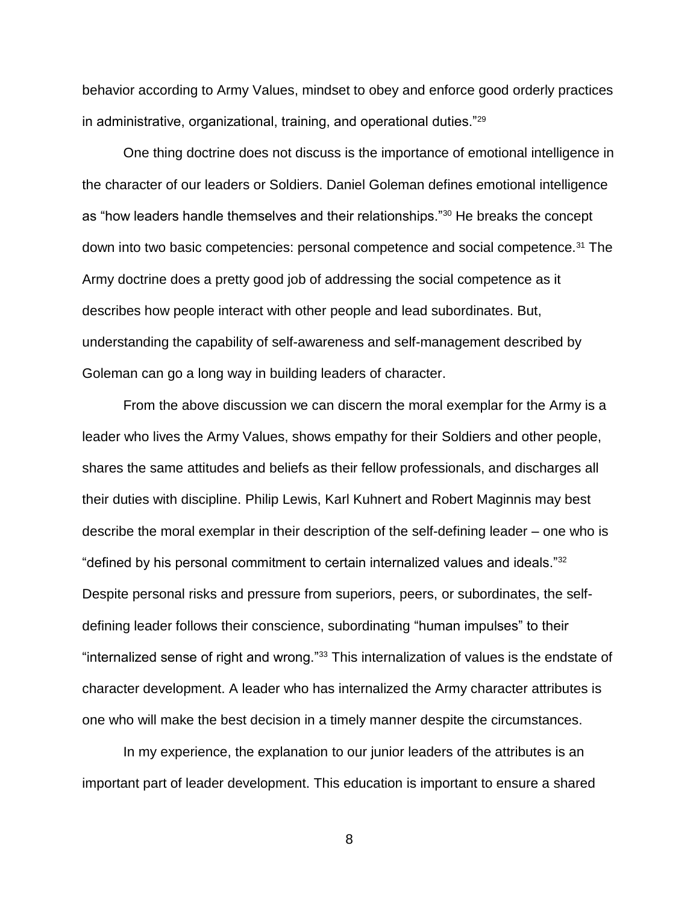behavior according to Army Values, mindset to obey and enforce good orderly practices in administrative, organizational, training, and operational duties."<sup>29</sup>

One thing doctrine does not discuss is the importance of emotional intelligence in the character of our leaders or Soldiers. Daniel Goleman defines emotional intelligence as "how leaders handle themselves and their relationships."<sup>30</sup> He breaks the concept down into two basic competencies: personal competence and social competence.<sup>31</sup> The Army doctrine does a pretty good job of addressing the social competence as it describes how people interact with other people and lead subordinates. But, understanding the capability of self-awareness and self-management described by Goleman can go a long way in building leaders of character.

From the above discussion we can discern the moral exemplar for the Army is a leader who lives the Army Values, shows empathy for their Soldiers and other people, shares the same attitudes and beliefs as their fellow professionals, and discharges all their duties with discipline. Philip Lewis, Karl Kuhnert and Robert Maginnis may best describe the moral exemplar in their description of the self-defining leader – one who is "defined by his personal commitment to certain internalized values and ideals."<sup>32</sup> Despite personal risks and pressure from superiors, peers, or subordinates, the selfdefining leader follows their conscience, subordinating "human impulses" to their "internalized sense of right and wrong."<sup>33</sup> This internalization of values is the endstate of character development. A leader who has internalized the Army character attributes is one who will make the best decision in a timely manner despite the circumstances.

In my experience, the explanation to our junior leaders of the attributes is an important part of leader development. This education is important to ensure a shared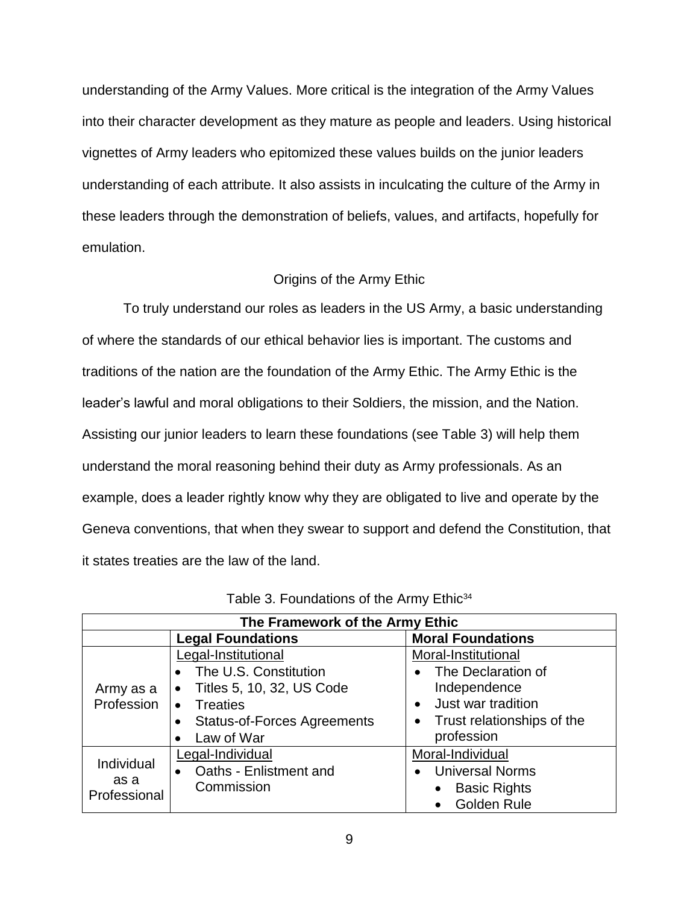understanding of the Army Values. More critical is the integration of the Army Values into their character development as they mature as people and leaders. Using historical vignettes of Army leaders who epitomized these values builds on the junior leaders understanding of each attribute. It also assists in inculcating the culture of the Army in these leaders through the demonstration of beliefs, values, and artifacts, hopefully for emulation.

### Origins of the Army Ethic

To truly understand our roles as leaders in the US Army, a basic understanding of where the standards of our ethical behavior lies is important. The customs and traditions of the nation are the foundation of the Army Ethic. The Army Ethic is the leader's lawful and moral obligations to their Soldiers, the mission, and the Nation. Assisting our junior leaders to learn these foundations (see Table 3) will help them understand the moral reasoning behind their duty as Army professionals. As an example, does a leader rightly know why they are obligated to live and operate by the Geneva conventions, that when they swear to support and defend the Constitution, that it states treaties are the law of the land.

| The Framework of the Army Ethic    |                                                                                               |                                                                                                      |  |  |  |
|------------------------------------|-----------------------------------------------------------------------------------------------|------------------------------------------------------------------------------------------------------|--|--|--|
|                                    | <b>Legal Foundations</b>                                                                      | <b>Moral Foundations</b>                                                                             |  |  |  |
| Army as a<br>Profession            | Legal-Institutional<br>The U.S. Constitution<br>$\bullet$<br>Titles 5, 10, 32, US Code<br>٠   | Moral-Institutional<br>The Declaration of<br>Independence                                            |  |  |  |
|                                    | <b>Treaties</b><br>$\bullet$<br><b>Status-of-Forces Agreements</b><br>Law of War<br>$\bullet$ | Just war tradition<br>Trust relationships of the<br>profession                                       |  |  |  |
| Individual<br>as a<br>Professional | Legal-Individual<br>Oaths - Enlistment and<br>$\bullet$<br>Commission                         | Moral-Individual<br><b>Universal Norms</b><br><b>Basic Rights</b><br>$\bullet$<br><b>Golden Rule</b> |  |  |  |

Table 3. Foundations of the Army Ethic<sup>34</sup>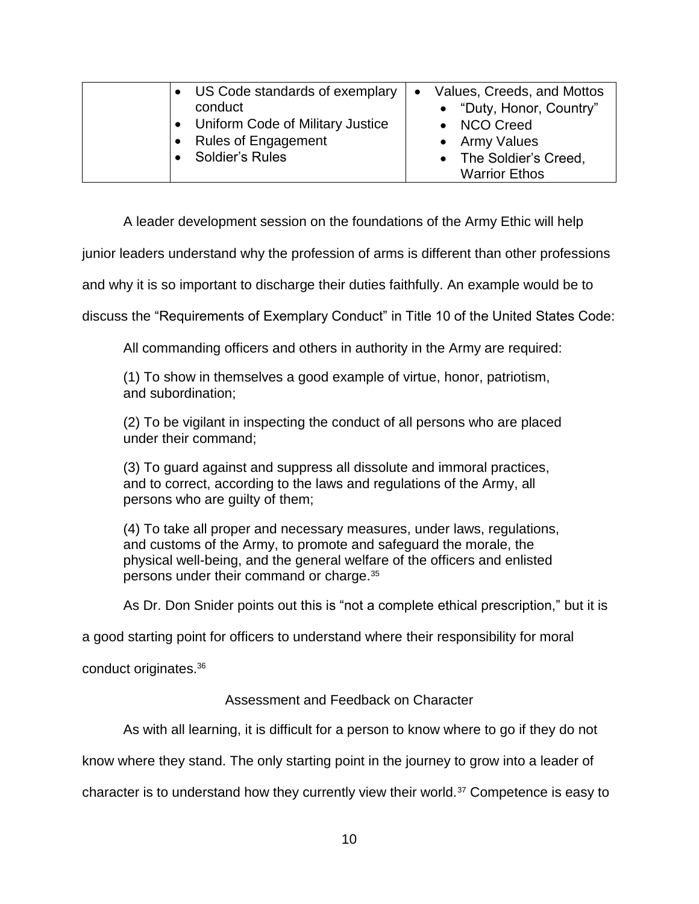| • US Code standards of exemplary  <br>conduct<br>• Uniform Code of Military Justice<br><b>Rules of Engagement</b><br>Soldier's Rules | Values, Creeds, and Mottos<br>$\bullet$<br>• "Duty, Honor, Country"<br>• NCO Creed<br>• Army Values<br>• The Soldier's Creed, |
|--------------------------------------------------------------------------------------------------------------------------------------|-------------------------------------------------------------------------------------------------------------------------------|
|                                                                                                                                      | <b>Warrior Ethos</b>                                                                                                          |

A leader development session on the foundations of the Army Ethic will help

junior leaders understand why the profession of arms is different than other professions

and why it is so important to discharge their duties faithfully. An example would be to

discuss the "Requirements of Exemplary Conduct" in Title 10 of the United States Code:

All commanding officers and others in authority in the Army are required:

(1) To show in themselves a good example of virtue, honor, patriotism, and subordination;

(2) To be vigilant in inspecting the conduct of all persons who are placed under their command;

(3) To guard against and suppress all dissolute and immoral practices, and to correct, according to the laws and regulations of the Army, all persons who are guilty of them;

(4) To take all proper and necessary measures, under laws, regulations, and customs of the Army, to promote and safeguard the morale, the physical well-being, and the general welfare of the officers and enlisted persons under their command or charge.<sup>35</sup>

As Dr. Don Snider points out this is "not a complete ethical prescription," but it is

a good starting point for officers to understand where their responsibility for moral

conduct originates.<sup>36</sup>

Assessment and Feedback on Character

As with all learning, it is difficult for a person to know where to go if they do not

know where they stand. The only starting point in the journey to grow into a leader of

character is to understand how they currently view their world.<sup>37</sup> Competence is easy to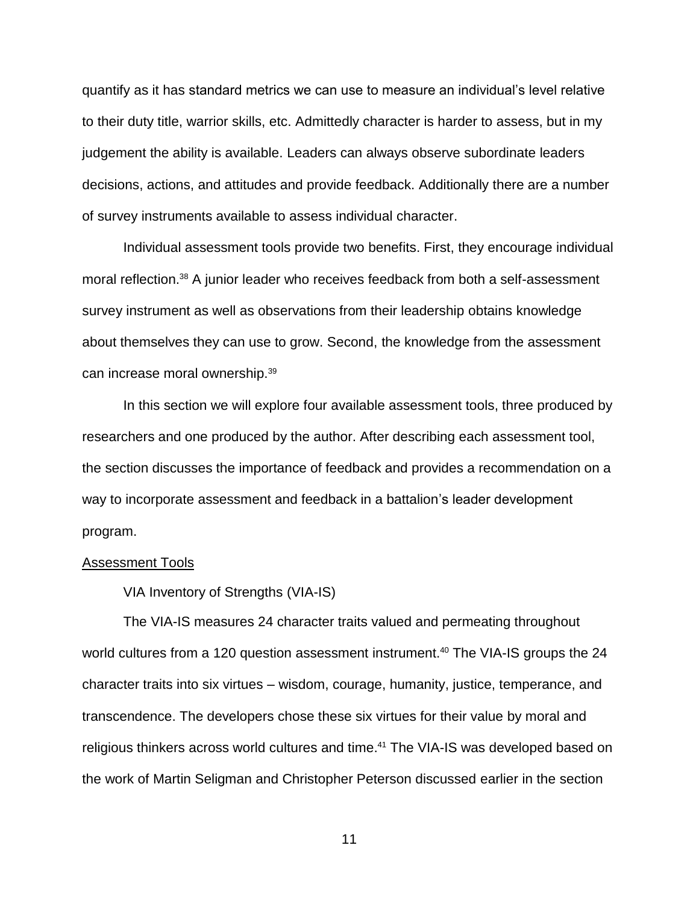quantify as it has standard metrics we can use to measure an individual's level relative to their duty title, warrior skills, etc. Admittedly character is harder to assess, but in my judgement the ability is available. Leaders can always observe subordinate leaders decisions, actions, and attitudes and provide feedback. Additionally there are a number of survey instruments available to assess individual character.

Individual assessment tools provide two benefits. First, they encourage individual moral reflection.<sup>38</sup> A junior leader who receives feedback from both a self-assessment survey instrument as well as observations from their leadership obtains knowledge about themselves they can use to grow. Second, the knowledge from the assessment can increase moral ownership.<sup>39</sup>

In this section we will explore four available assessment tools, three produced by researchers and one produced by the author. After describing each assessment tool, the section discusses the importance of feedback and provides a recommendation on a way to incorporate assessment and feedback in a battalion's leader development program.

### Assessment Tools

VIA Inventory of Strengths (VIA-IS)

The VIA-IS measures 24 character traits valued and permeating throughout world cultures from a 120 question assessment instrument.<sup>40</sup> The VIA-IS groups the 24 character traits into six virtues – wisdom, courage, humanity, justice, temperance, and transcendence. The developers chose these six virtues for their value by moral and religious thinkers across world cultures and time.<sup>41</sup> The VIA-IS was developed based on the work of Martin Seligman and Christopher Peterson discussed earlier in the section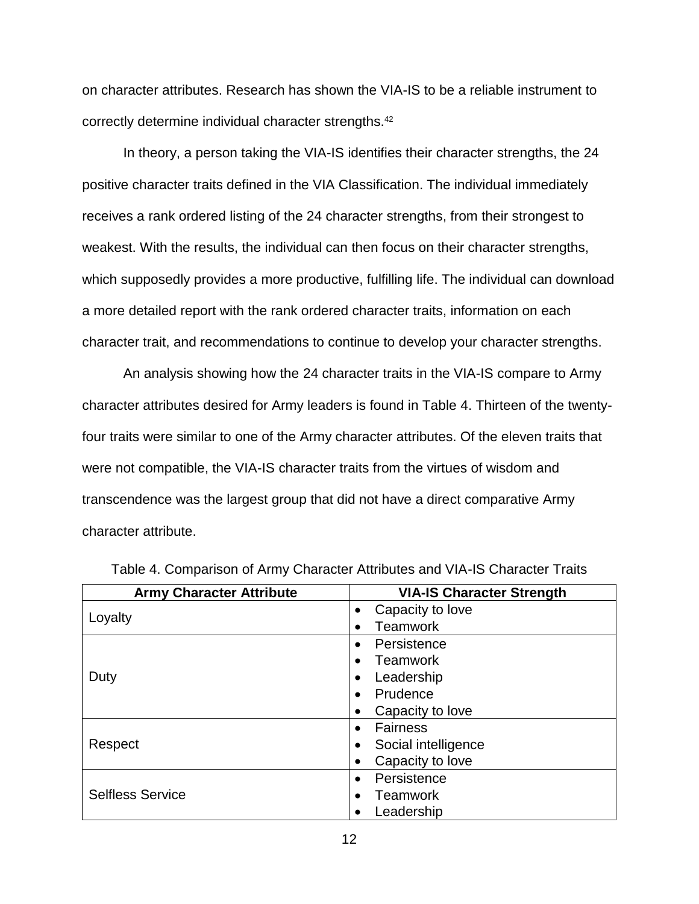on character attributes. Research has shown the VIA-IS to be a reliable instrument to correctly determine individual character strengths.<sup>42</sup>

In theory, a person taking the VIA-IS identifies their character strengths, the 24 positive character traits defined in the VIA Classification. The individual immediately receives a rank ordered listing of the 24 character strengths, from their strongest to weakest. With the results, the individual can then focus on their character strengths, which supposedly provides a more productive, fulfilling life. The individual can download a more detailed report with the rank ordered character traits, information on each character trait, and recommendations to continue to develop your character strengths.

An analysis showing how the 24 character traits in the VIA-IS compare to Army character attributes desired for Army leaders is found in Table 4. Thirteen of the twentyfour traits were similar to one of the Army character attributes. Of the eleven traits that were not compatible, the VIA-IS character traits from the virtues of wisdom and transcendence was the largest group that did not have a direct comparative Army character attribute.

| <b>Army Character Attribute</b> | <b>VIA-IS Character Strength</b> |  |  |
|---------------------------------|----------------------------------|--|--|
| Loyalty                         | Capacity to love<br>٠            |  |  |
|                                 | Teamwork                         |  |  |
|                                 | Persistence<br>$\bullet$         |  |  |
|                                 | Teamwork                         |  |  |
| Duty                            | Leadership                       |  |  |
|                                 | Prudence                         |  |  |
|                                 | Capacity to love<br>٠            |  |  |
|                                 | <b>Fairness</b>                  |  |  |
| Respect                         | Social intelligence              |  |  |
|                                 | Capacity to love                 |  |  |
|                                 | Persistence<br>$\bullet$         |  |  |
| <b>Selfless Service</b>         | <b>Teamwork</b>                  |  |  |
|                                 | Leadership                       |  |  |

Table 4. Comparison of Army Character Attributes and VIA-IS Character Traits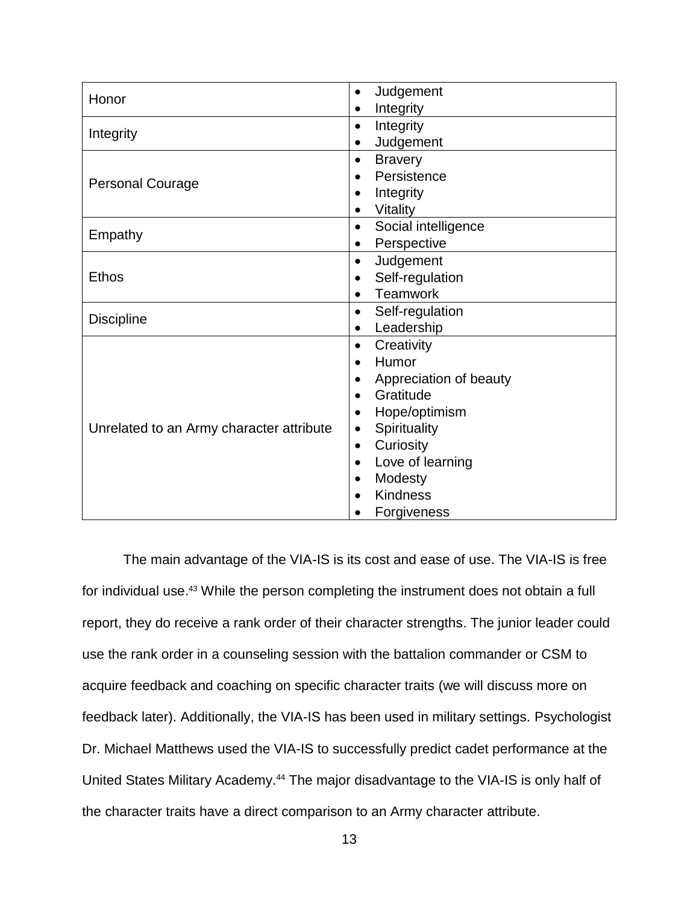|                                          | Judgement<br>$\bullet$              |
|------------------------------------------|-------------------------------------|
| Honor                                    |                                     |
|                                          | Integrity<br>$\bullet$              |
| Integrity                                | Integrity<br>$\bullet$              |
|                                          | Judgement<br>$\bullet$              |
|                                          | <b>Bravery</b><br>$\bullet$         |
| <b>Personal Courage</b>                  | Persistence<br>$\bullet$            |
|                                          | Integrity<br>$\bullet$              |
|                                          | Vitality<br>$\bullet$               |
| Empathy                                  | Social intelligence<br>$\bullet$    |
|                                          | Perspective<br>٠                    |
|                                          | Judgement<br>$\bullet$              |
| <b>Ethos</b>                             | Self-regulation<br>$\bullet$        |
|                                          | Teamwork<br>$\bullet$               |
|                                          | Self-regulation<br>$\bullet$        |
| <b>Discipline</b>                        | Leadership<br>$\bullet$             |
|                                          | Creativity<br>$\bullet$             |
|                                          | Humor<br>$\bullet$                  |
|                                          | Appreciation of beauty<br>$\bullet$ |
|                                          | Gratitude<br>$\bullet$              |
|                                          | Hope/optimism<br>$\bullet$          |
| Unrelated to an Army character attribute | Spirituality<br>$\bullet$           |
|                                          | Curiosity<br>$\bullet$              |
|                                          | Love of learning<br>$\bullet$       |
|                                          | Modesty<br>$\bullet$                |
|                                          | <b>Kindness</b><br>$\bullet$        |
|                                          | Forgiveness<br>$\bullet$            |

The main advantage of the VIA-IS is its cost and ease of use. The VIA-IS is free for individual use.<sup>43</sup> While the person completing the instrument does not obtain a full report, they do receive a rank order of their character strengths. The junior leader could use the rank order in a counseling session with the battalion commander or CSM to acquire feedback and coaching on specific character traits (we will discuss more on feedback later). Additionally, the VIA-IS has been used in military settings. Psychologist Dr. Michael Matthews used the VIA-IS to successfully predict cadet performance at the United States Military Academy.<sup>44</sup> The major disadvantage to the VIA-IS is only half of the character traits have a direct comparison to an Army character attribute.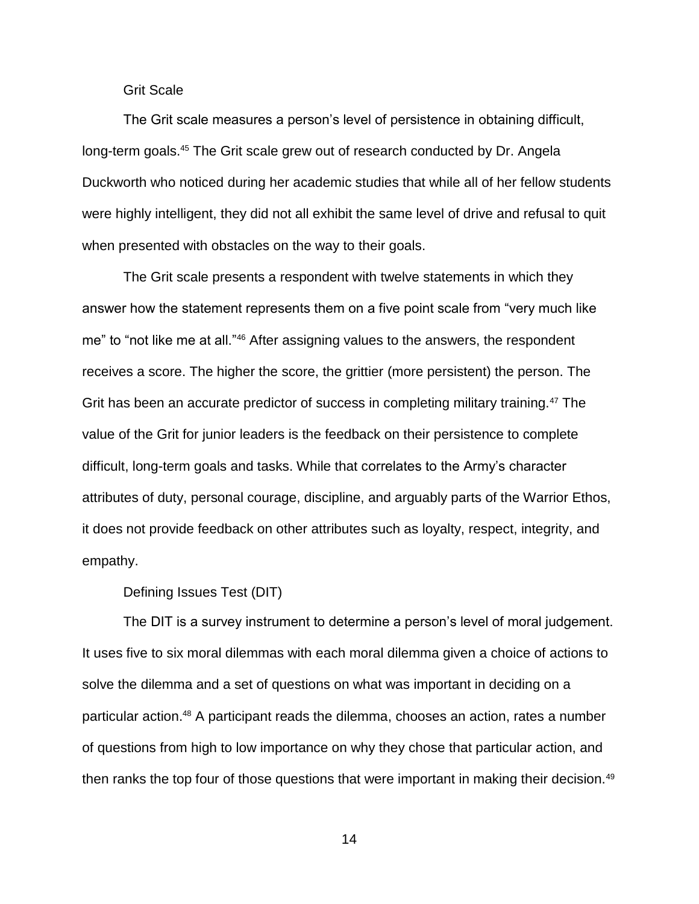### Grit Scale

The Grit scale measures a person's level of persistence in obtaining difficult, long-term goals.<sup>45</sup> The Grit scale grew out of research conducted by Dr. Angela Duckworth who noticed during her academic studies that while all of her fellow students were highly intelligent, they did not all exhibit the same level of drive and refusal to quit when presented with obstacles on the way to their goals.

The Grit scale presents a respondent with twelve statements in which they answer how the statement represents them on a five point scale from "very much like me" to "not like me at all."<sup>46</sup> After assigning values to the answers, the respondent receives a score. The higher the score, the grittier (more persistent) the person. The Grit has been an accurate predictor of success in completing military training.<sup>47</sup> The value of the Grit for junior leaders is the feedback on their persistence to complete difficult, long-term goals and tasks. While that correlates to the Army's character attributes of duty, personal courage, discipline, and arguably parts of the Warrior Ethos, it does not provide feedback on other attributes such as loyalty, respect, integrity, and empathy.

### Defining Issues Test (DIT)

The DIT is a survey instrument to determine a person's level of moral judgement. It uses five to six moral dilemmas with each moral dilemma given a choice of actions to solve the dilemma and a set of questions on what was important in deciding on a particular action.<sup>48</sup> A participant reads the dilemma, chooses an action, rates a number of questions from high to low importance on why they chose that particular action, and then ranks the top four of those questions that were important in making their decision.<sup>49</sup>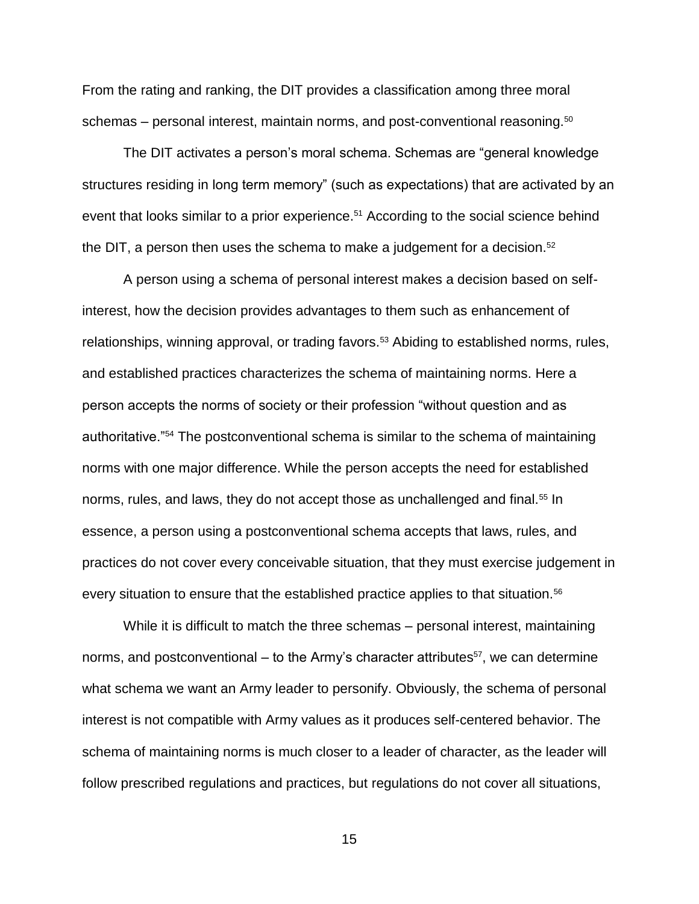From the rating and ranking, the DIT provides a classification among three moral schemas – personal interest, maintain norms, and post-conventional reasoning.<sup>50</sup>

The DIT activates a person's moral schema. Schemas are "general knowledge structures residing in long term memory" (such as expectations) that are activated by an event that looks similar to a prior experience.<sup>51</sup> According to the social science behind the DIT, a person then uses the schema to make a judgement for a decision. $52$ 

A person using a schema of personal interest makes a decision based on selfinterest, how the decision provides advantages to them such as enhancement of relationships, winning approval, or trading favors.<sup>53</sup> Abiding to established norms, rules, and established practices characterizes the schema of maintaining norms. Here a person accepts the norms of society or their profession "without question and as authoritative."<sup>54</sup> The postconventional schema is similar to the schema of maintaining norms with one major difference. While the person accepts the need for established norms, rules, and laws, they do not accept those as unchallenged and final.<sup>55</sup> In essence, a person using a postconventional schema accepts that laws, rules, and practices do not cover every conceivable situation, that they must exercise judgement in every situation to ensure that the established practice applies to that situation.<sup>56</sup>

While it is difficult to match the three schemas – personal interest, maintaining norms, and postconventional – to the Army's character attributes<sup>57</sup>, we can determine what schema we want an Army leader to personify. Obviously, the schema of personal interest is not compatible with Army values as it produces self-centered behavior. The schema of maintaining norms is much closer to a leader of character, as the leader will follow prescribed regulations and practices, but regulations do not cover all situations,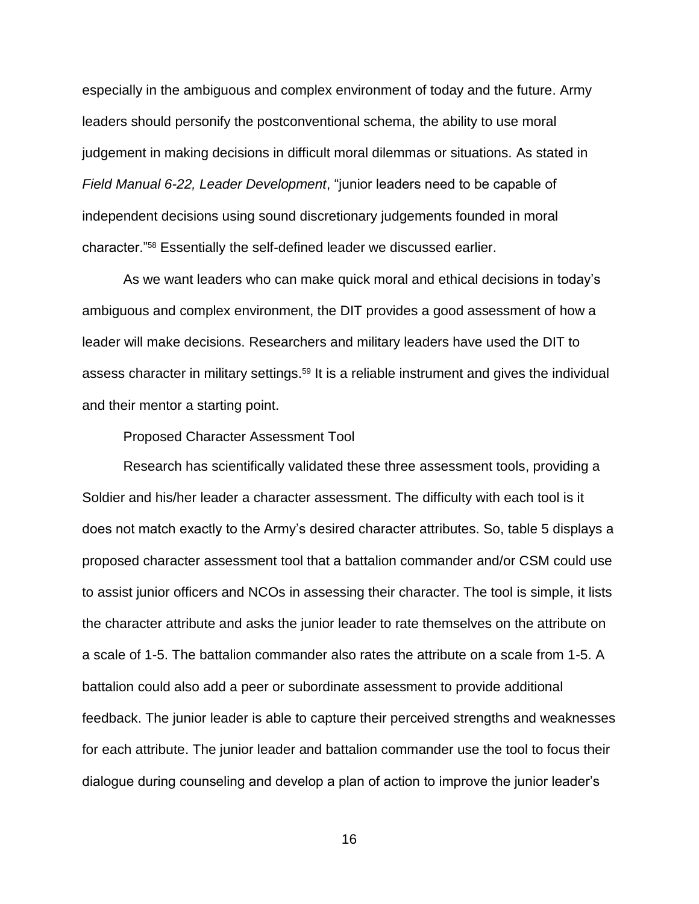especially in the ambiguous and complex environment of today and the future. Army leaders should personify the postconventional schema, the ability to use moral judgement in making decisions in difficult moral dilemmas or situations. As stated in *Field Manual 6-22, Leader Development*, "junior leaders need to be capable of independent decisions using sound discretionary judgements founded in moral character."<sup>58</sup> Essentially the self-defined leader we discussed earlier.

As we want leaders who can make quick moral and ethical decisions in today's ambiguous and complex environment, the DIT provides a good assessment of how a leader will make decisions. Researchers and military leaders have used the DIT to assess character in military settings.<sup>59</sup> It is a reliable instrument and gives the individual and their mentor a starting point.

### Proposed Character Assessment Tool

Research has scientifically validated these three assessment tools, providing a Soldier and his/her leader a character assessment. The difficulty with each tool is it does not match exactly to the Army's desired character attributes. So, table 5 displays a proposed character assessment tool that a battalion commander and/or CSM could use to assist junior officers and NCOs in assessing their character. The tool is simple, it lists the character attribute and asks the junior leader to rate themselves on the attribute on a scale of 1-5. The battalion commander also rates the attribute on a scale from 1-5. A battalion could also add a peer or subordinate assessment to provide additional feedback. The junior leader is able to capture their perceived strengths and weaknesses for each attribute. The junior leader and battalion commander use the tool to focus their dialogue during counseling and develop a plan of action to improve the junior leader's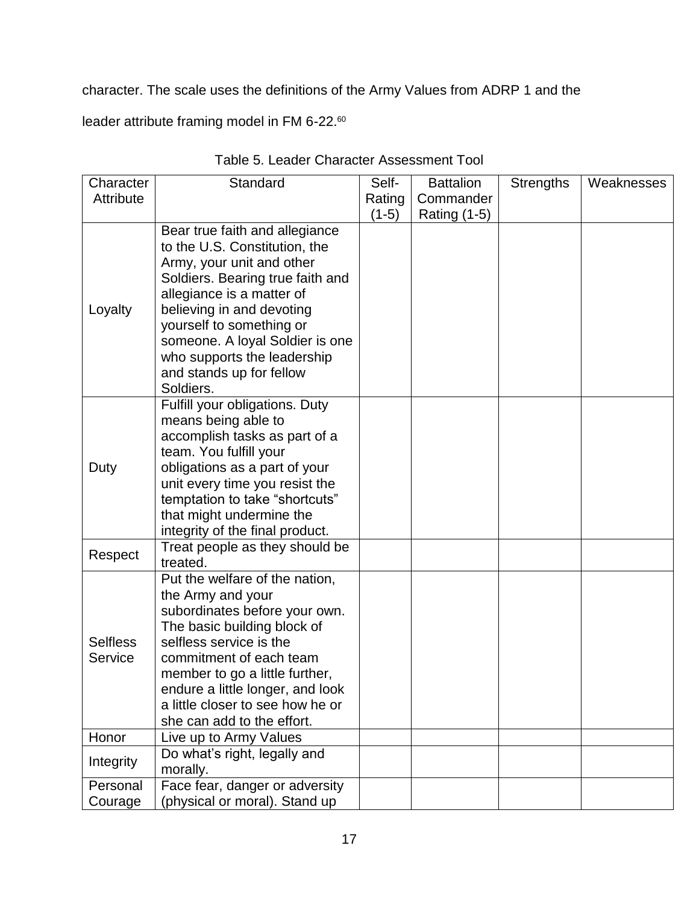character. The scale uses the definitions of the Army Values from ADRP 1 and the

leader attribute framing model in FM 6-22.<sup>60</sup>

| Character       | Standard                                                           | Self-  | <b>Battalion</b>    | <b>Strengths</b> | Weaknesses |
|-----------------|--------------------------------------------------------------------|--------|---------------------|------------------|------------|
| Attribute       |                                                                    | Rating | Commander           |                  |            |
|                 |                                                                    | (1-5)  | <b>Rating (1-5)</b> |                  |            |
|                 | Bear true faith and allegiance                                     |        |                     |                  |            |
|                 | to the U.S. Constitution, the                                      |        |                     |                  |            |
|                 | Army, your unit and other                                          |        |                     |                  |            |
|                 | Soldiers. Bearing true faith and                                   |        |                     |                  |            |
|                 | allegiance is a matter of                                          |        |                     |                  |            |
| Loyalty         | believing in and devoting                                          |        |                     |                  |            |
|                 | yourself to something or                                           |        |                     |                  |            |
|                 | someone. A loyal Soldier is one                                    |        |                     |                  |            |
|                 | who supports the leadership<br>and stands up for fellow            |        |                     |                  |            |
|                 | Soldiers.                                                          |        |                     |                  |            |
|                 | Fulfill your obligations. Duty                                     |        |                     |                  |            |
|                 | means being able to                                                |        |                     |                  |            |
|                 | accomplish tasks as part of a                                      |        |                     |                  |            |
|                 | team. You fulfill your                                             |        |                     |                  |            |
| Duty            | obligations as a part of your                                      |        |                     |                  |            |
|                 | unit every time you resist the                                     |        |                     |                  |            |
|                 | temptation to take "shortcuts"                                     |        |                     |                  |            |
|                 | that might undermine the                                           |        |                     |                  |            |
|                 | integrity of the final product.                                    |        |                     |                  |            |
| Respect         | Treat people as they should be                                     |        |                     |                  |            |
|                 | treated.                                                           |        |                     |                  |            |
|                 | Put the welfare of the nation,                                     |        |                     |                  |            |
|                 | the Army and your                                                  |        |                     |                  |            |
|                 | subordinates before your own.                                      |        |                     |                  |            |
|                 | The basic building block of                                        |        |                     |                  |            |
| <b>Selfless</b> | selfless service is the                                            |        |                     |                  |            |
| Service         | commitment of each team                                            |        |                     |                  |            |
|                 | member to go a little further,<br>endure a little longer, and look |        |                     |                  |            |
|                 | a little closer to see how he or                                   |        |                     |                  |            |
|                 | she can add to the effort.                                         |        |                     |                  |            |
| Honor           | Live up to Army Values                                             |        |                     |                  |            |
|                 | Do what's right, legally and                                       |        |                     |                  |            |
| Integrity       | morally.                                                           |        |                     |                  |            |
| Personal        | Face fear, danger or adversity                                     |        |                     |                  |            |
| Courage         | (physical or moral). Stand up                                      |        |                     |                  |            |

### Table 5. Leader Character Assessment Tool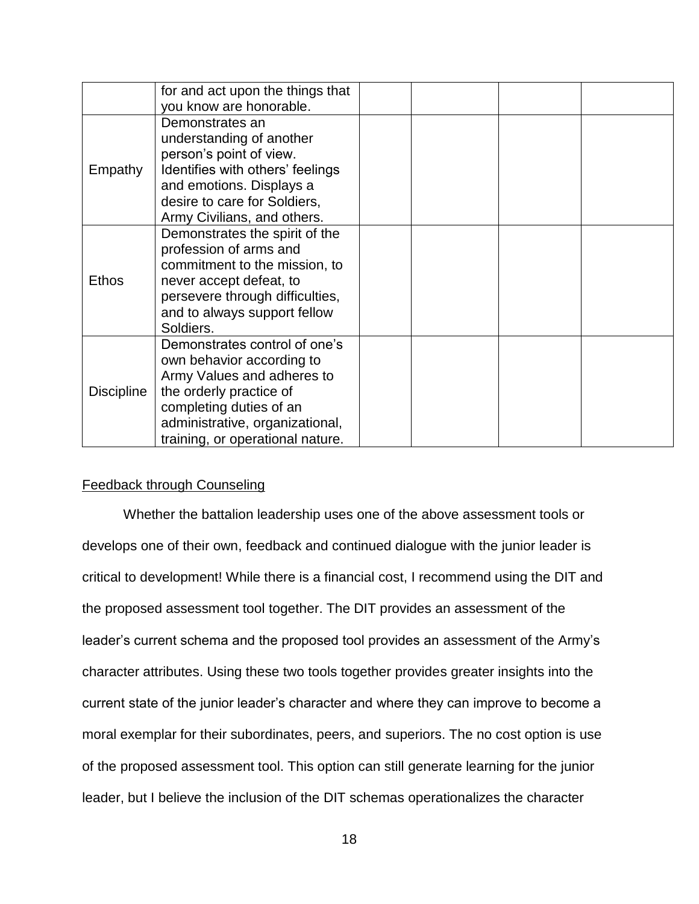|                   | for and act upon the things that                                                                                                                                                                                      |  |  |
|-------------------|-----------------------------------------------------------------------------------------------------------------------------------------------------------------------------------------------------------------------|--|--|
|                   | you know are honorable.                                                                                                                                                                                               |  |  |
| Empathy           | Demonstrates an<br>understanding of another<br>person's point of view.<br>Identifies with others' feelings<br>and emotions. Displays a<br>desire to care for Soldiers,<br>Army Civilians, and others.                 |  |  |
| <b>Ethos</b>      | Demonstrates the spirit of the<br>profession of arms and<br>commitment to the mission, to<br>never accept defeat, to<br>persevere through difficulties,<br>and to always support fellow<br>Soldiers.                  |  |  |
| <b>Discipline</b> | Demonstrates control of one's<br>own behavior according to<br>Army Values and adheres to<br>the orderly practice of<br>completing duties of an<br>administrative, organizational,<br>training, or operational nature. |  |  |

### Feedback through Counseling

Whether the battalion leadership uses one of the above assessment tools or develops one of their own, feedback and continued dialogue with the junior leader is critical to development! While there is a financial cost, I recommend using the DIT and the proposed assessment tool together. The DIT provides an assessment of the leader's current schema and the proposed tool provides an assessment of the Army's character attributes. Using these two tools together provides greater insights into the current state of the junior leader's character and where they can improve to become a moral exemplar for their subordinates, peers, and superiors. The no cost option is use of the proposed assessment tool. This option can still generate learning for the junior leader, but I believe the inclusion of the DIT schemas operationalizes the character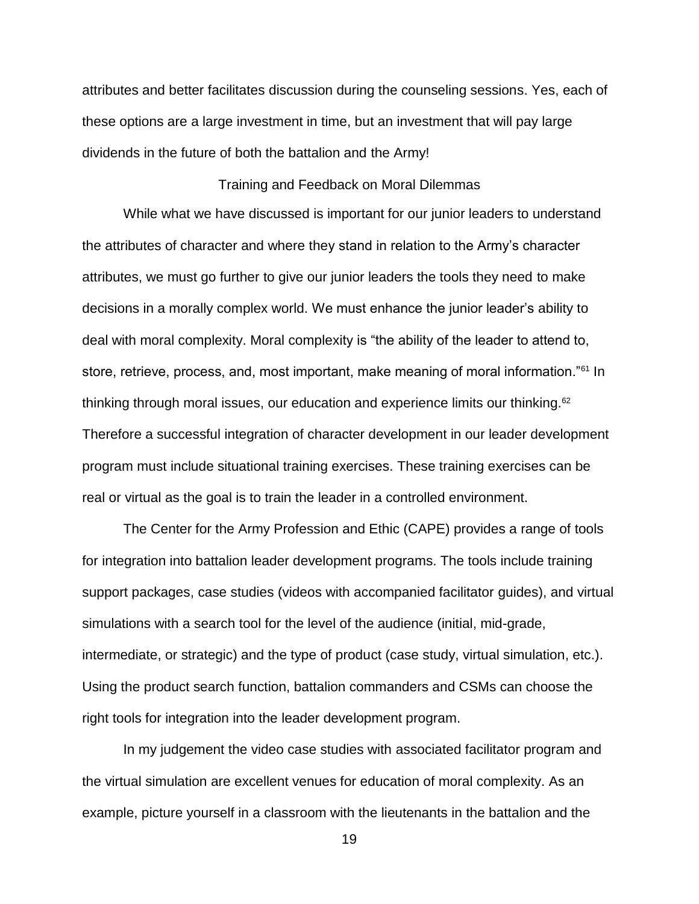attributes and better facilitates discussion during the counseling sessions. Yes, each of these options are a large investment in time, but an investment that will pay large dividends in the future of both the battalion and the Army!

### Training and Feedback on Moral Dilemmas

While what we have discussed is important for our junior leaders to understand the attributes of character and where they stand in relation to the Army's character attributes, we must go further to give our junior leaders the tools they need to make decisions in a morally complex world. We must enhance the junior leader's ability to deal with moral complexity. Moral complexity is "the ability of the leader to attend to, store, retrieve, process, and, most important, make meaning of moral information."<sup>61</sup> In thinking through moral issues, our education and experience limits our thinking.<sup>62</sup> Therefore a successful integration of character development in our leader development program must include situational training exercises. These training exercises can be real or virtual as the goal is to train the leader in a controlled environment.

The Center for the Army Profession and Ethic (CAPE) provides a range of tools for integration into battalion leader development programs. The tools include training support packages, case studies (videos with accompanied facilitator guides), and virtual simulations with a search tool for the level of the audience (initial, mid-grade, intermediate, or strategic) and the type of product (case study, virtual simulation, etc.). Using the product search function, battalion commanders and CSMs can choose the right tools for integration into the leader development program.

In my judgement the video case studies with associated facilitator program and the virtual simulation are excellent venues for education of moral complexity. As an example, picture yourself in a classroom with the lieutenants in the battalion and the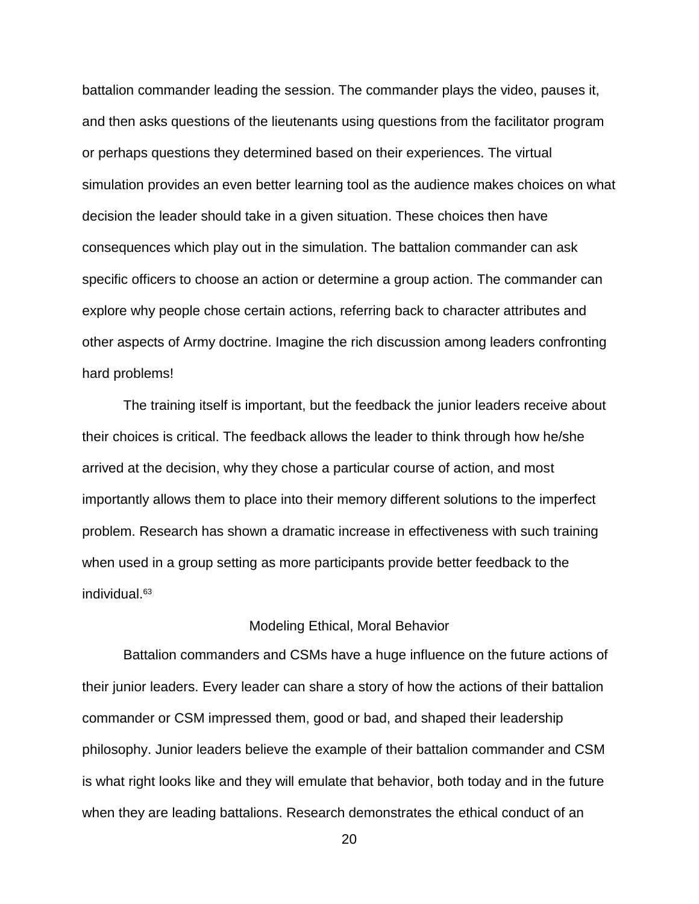battalion commander leading the session. The commander plays the video, pauses it, and then asks questions of the lieutenants using questions from the facilitator program or perhaps questions they determined based on their experiences. The virtual simulation provides an even better learning tool as the audience makes choices on what decision the leader should take in a given situation. These choices then have consequences which play out in the simulation. The battalion commander can ask specific officers to choose an action or determine a group action. The commander can explore why people chose certain actions, referring back to character attributes and other aspects of Army doctrine. Imagine the rich discussion among leaders confronting hard problems!

The training itself is important, but the feedback the junior leaders receive about their choices is critical. The feedback allows the leader to think through how he/she arrived at the decision, why they chose a particular course of action, and most importantly allows them to place into their memory different solutions to the imperfect problem. Research has shown a dramatic increase in effectiveness with such training when used in a group setting as more participants provide better feedback to the individual.<sup>63</sup>

### Modeling Ethical, Moral Behavior

Battalion commanders and CSMs have a huge influence on the future actions of their junior leaders. Every leader can share a story of how the actions of their battalion commander or CSM impressed them, good or bad, and shaped their leadership philosophy. Junior leaders believe the example of their battalion commander and CSM is what right looks like and they will emulate that behavior, both today and in the future when they are leading battalions. Research demonstrates the ethical conduct of an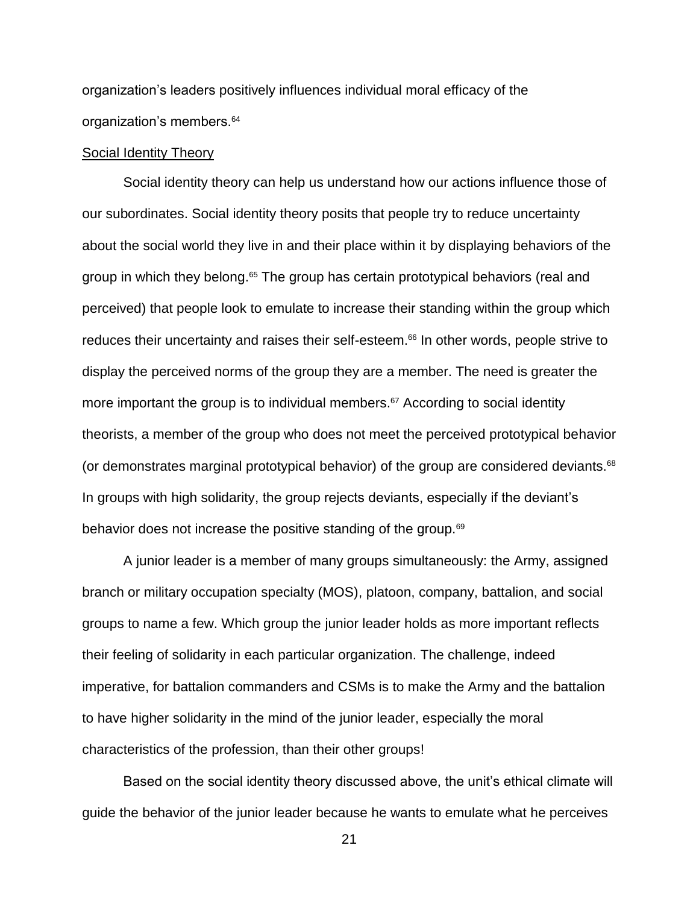organization's leaders positively influences individual moral efficacy of the organization's members.<sup>64</sup>

### Social Identity Theory

Social identity theory can help us understand how our actions influence those of our subordinates. Social identity theory posits that people try to reduce uncertainty about the social world they live in and their place within it by displaying behaviors of the group in which they belong. <sup>65</sup> The group has certain prototypical behaviors (real and perceived) that people look to emulate to increase their standing within the group which reduces their uncertainty and raises their self-esteem.<sup>66</sup> In other words, people strive to display the perceived norms of the group they are a member. The need is greater the more important the group is to individual members. <sup>67</sup> According to social identity theorists, a member of the group who does not meet the perceived prototypical behavior (or demonstrates marginal prototypical behavior) of the group are considered deviants.<sup>68</sup> In groups with high solidarity, the group rejects deviants, especially if the deviant's behavior does not increase the positive standing of the group.<sup>69</sup>

A junior leader is a member of many groups simultaneously: the Army, assigned branch or military occupation specialty (MOS), platoon, company, battalion, and social groups to name a few. Which group the junior leader holds as more important reflects their feeling of solidarity in each particular organization. The challenge, indeed imperative, for battalion commanders and CSMs is to make the Army and the battalion to have higher solidarity in the mind of the junior leader, especially the moral characteristics of the profession, than their other groups!

Based on the social identity theory discussed above, the unit's ethical climate will guide the behavior of the junior leader because he wants to emulate what he perceives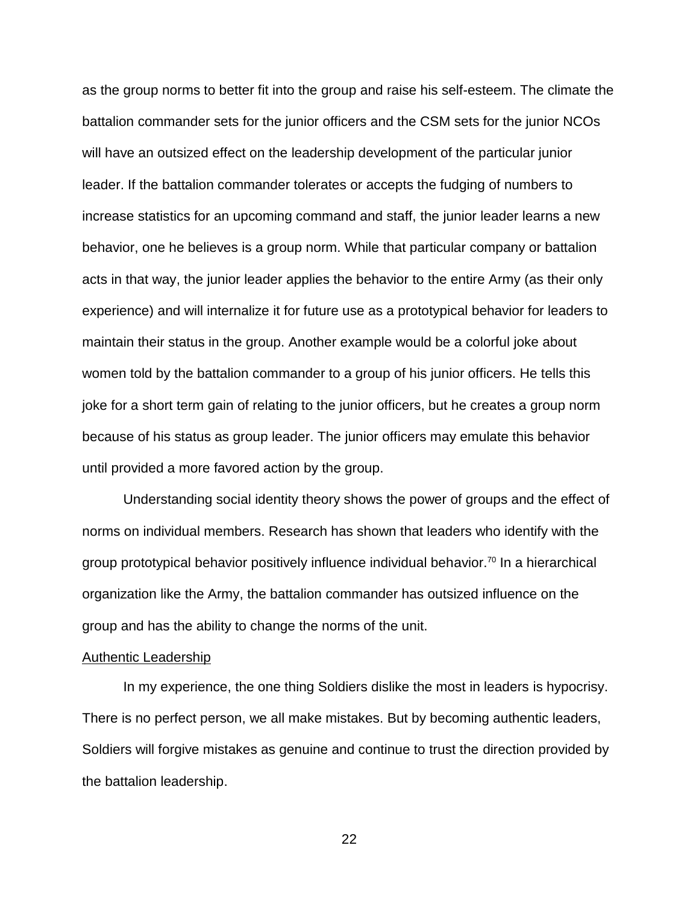as the group norms to better fit into the group and raise his self-esteem. The climate the battalion commander sets for the junior officers and the CSM sets for the junior NCOs will have an outsized effect on the leadership development of the particular junior leader. If the battalion commander tolerates or accepts the fudging of numbers to increase statistics for an upcoming command and staff, the junior leader learns a new behavior, one he believes is a group norm. While that particular company or battalion acts in that way, the junior leader applies the behavior to the entire Army (as their only experience) and will internalize it for future use as a prototypical behavior for leaders to maintain their status in the group. Another example would be a colorful joke about women told by the battalion commander to a group of his junior officers. He tells this joke for a short term gain of relating to the junior officers, but he creates a group norm because of his status as group leader. The junior officers may emulate this behavior until provided a more favored action by the group.

Understanding social identity theory shows the power of groups and the effect of norms on individual members. Research has shown that leaders who identify with the group prototypical behavior positively influence individual behavior.<sup>70</sup> In a hierarchical organization like the Army, the battalion commander has outsized influence on the group and has the ability to change the norms of the unit.

### Authentic Leadership

In my experience, the one thing Soldiers dislike the most in leaders is hypocrisy. There is no perfect person, we all make mistakes. But by becoming authentic leaders, Soldiers will forgive mistakes as genuine and continue to trust the direction provided by the battalion leadership.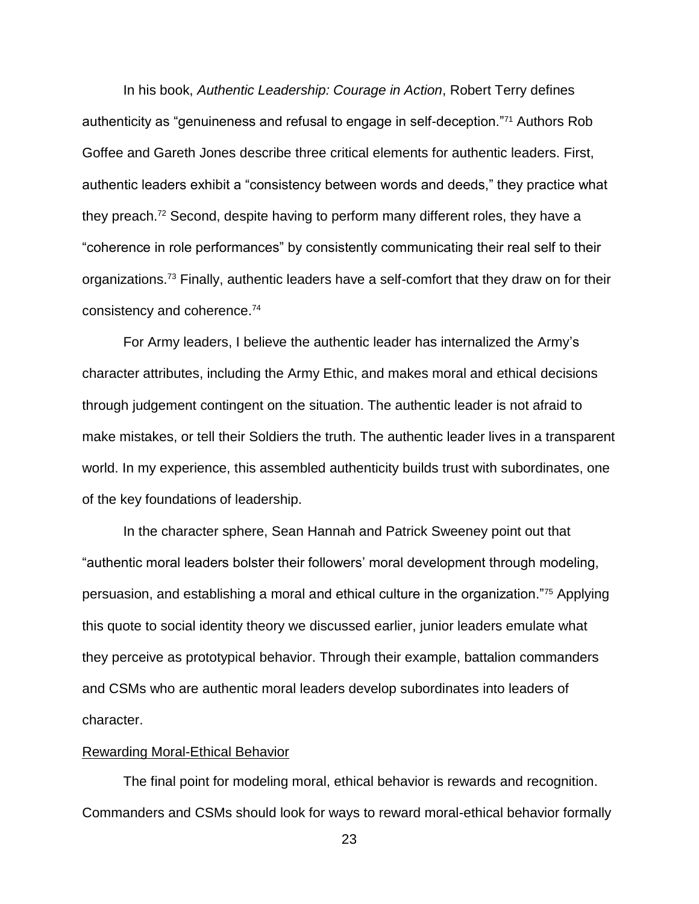In his book, *Authentic Leadership: Courage in Action*, Robert Terry defines authenticity as "genuineness and refusal to engage in self-deception."<sup>71</sup> Authors Rob Goffee and Gareth Jones describe three critical elements for authentic leaders. First, authentic leaders exhibit a "consistency between words and deeds," they practice what they preach.<sup>72</sup> Second, despite having to perform many different roles, they have a "coherence in role performances" by consistently communicating their real self to their organizations.<sup>73</sup> Finally, authentic leaders have a self-comfort that they draw on for their consistency and coherence.<sup>74</sup>

For Army leaders, I believe the authentic leader has internalized the Army's character attributes, including the Army Ethic, and makes moral and ethical decisions through judgement contingent on the situation. The authentic leader is not afraid to make mistakes, or tell their Soldiers the truth. The authentic leader lives in a transparent world. In my experience, this assembled authenticity builds trust with subordinates, one of the key foundations of leadership.

In the character sphere, Sean Hannah and Patrick Sweeney point out that "authentic moral leaders bolster their followers' moral development through modeling, persuasion, and establishing a moral and ethical culture in the organization."<sup>75</sup> Applying this quote to social identity theory we discussed earlier, junior leaders emulate what they perceive as prototypical behavior. Through their example, battalion commanders and CSMs who are authentic moral leaders develop subordinates into leaders of character.

### Rewarding Moral-Ethical Behavior

The final point for modeling moral, ethical behavior is rewards and recognition. Commanders and CSMs should look for ways to reward moral-ethical behavior formally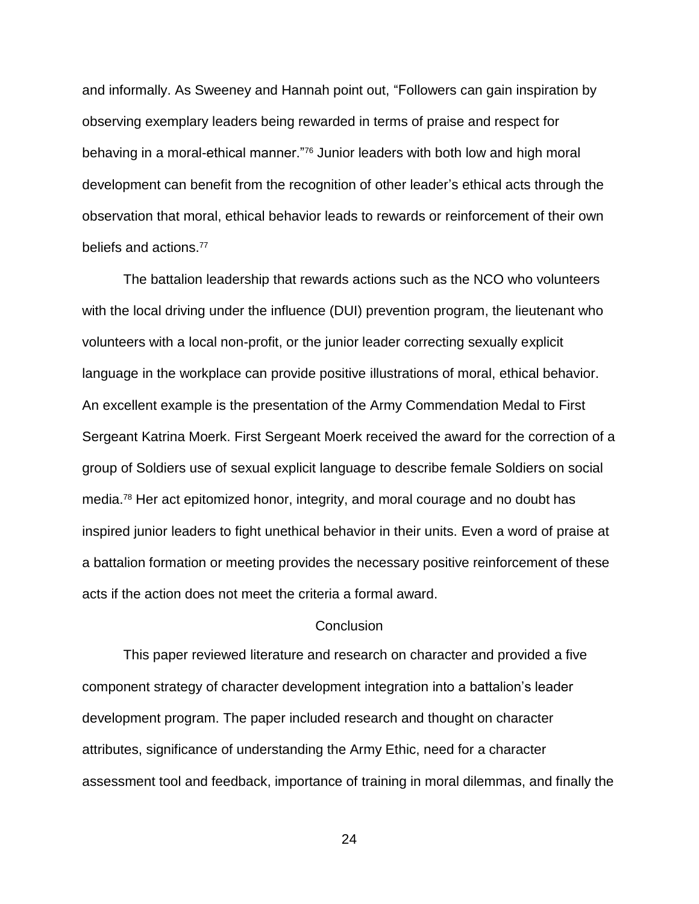and informally. As Sweeney and Hannah point out, "Followers can gain inspiration by observing exemplary leaders being rewarded in terms of praise and respect for behaving in a moral-ethical manner."<sup>76</sup> Junior leaders with both low and high moral development can benefit from the recognition of other leader's ethical acts through the observation that moral, ethical behavior leads to rewards or reinforcement of their own beliefs and actions.<sup>77</sup>

The battalion leadership that rewards actions such as the NCO who volunteers with the local driving under the influence (DUI) prevention program, the lieutenant who volunteers with a local non-profit, or the junior leader correcting sexually explicit language in the workplace can provide positive illustrations of moral, ethical behavior. An excellent example is the presentation of the Army Commendation Medal to First Sergeant Katrina Moerk. First Sergeant Moerk received the award for the correction of a group of Soldiers use of sexual explicit language to describe female Soldiers on social media.<sup>78</sup> Her act epitomized honor, integrity, and moral courage and no doubt has inspired junior leaders to fight unethical behavior in their units. Even a word of praise at a battalion formation or meeting provides the necessary positive reinforcement of these acts if the action does not meet the criteria a formal award.

### **Conclusion**

This paper reviewed literature and research on character and provided a five component strategy of character development integration into a battalion's leader development program. The paper included research and thought on character attributes, significance of understanding the Army Ethic, need for a character assessment tool and feedback, importance of training in moral dilemmas, and finally the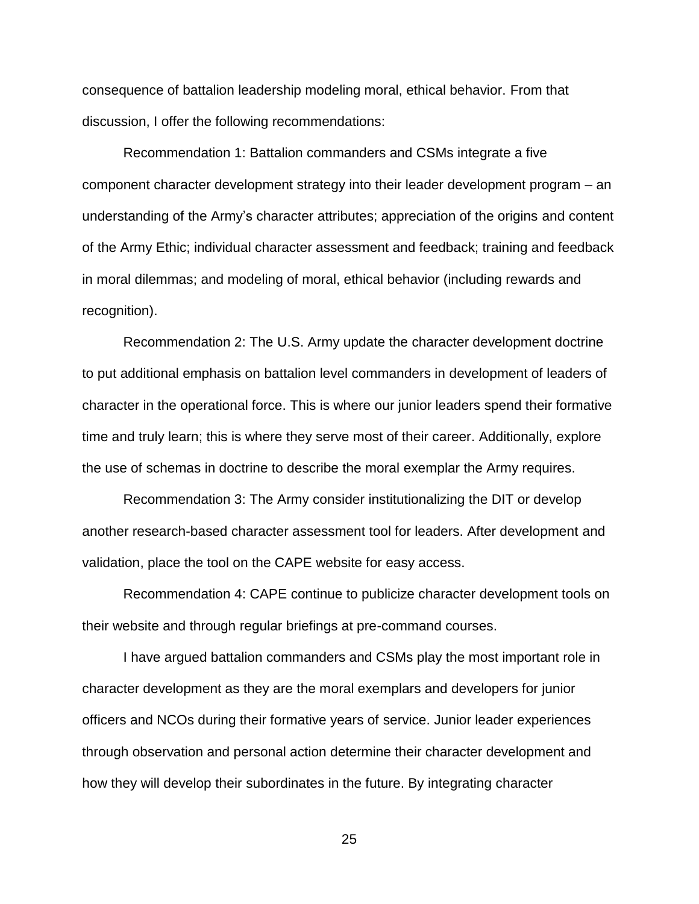consequence of battalion leadership modeling moral, ethical behavior. From that discussion, I offer the following recommendations:

Recommendation 1: Battalion commanders and CSMs integrate a five component character development strategy into their leader development program – an understanding of the Army's character attributes; appreciation of the origins and content of the Army Ethic; individual character assessment and feedback; training and feedback in moral dilemmas; and modeling of moral, ethical behavior (including rewards and recognition).

Recommendation 2: The U.S. Army update the character development doctrine to put additional emphasis on battalion level commanders in development of leaders of character in the operational force. This is where our junior leaders spend their formative time and truly learn; this is where they serve most of their career. Additionally, explore the use of schemas in doctrine to describe the moral exemplar the Army requires.

Recommendation 3: The Army consider institutionalizing the DIT or develop another research-based character assessment tool for leaders. After development and validation, place the tool on the CAPE website for easy access.

Recommendation 4: CAPE continue to publicize character development tools on their website and through regular briefings at pre-command courses.

I have argued battalion commanders and CSMs play the most important role in character development as they are the moral exemplars and developers for junior officers and NCOs during their formative years of service. Junior leader experiences through observation and personal action determine their character development and how they will develop their subordinates in the future. By integrating character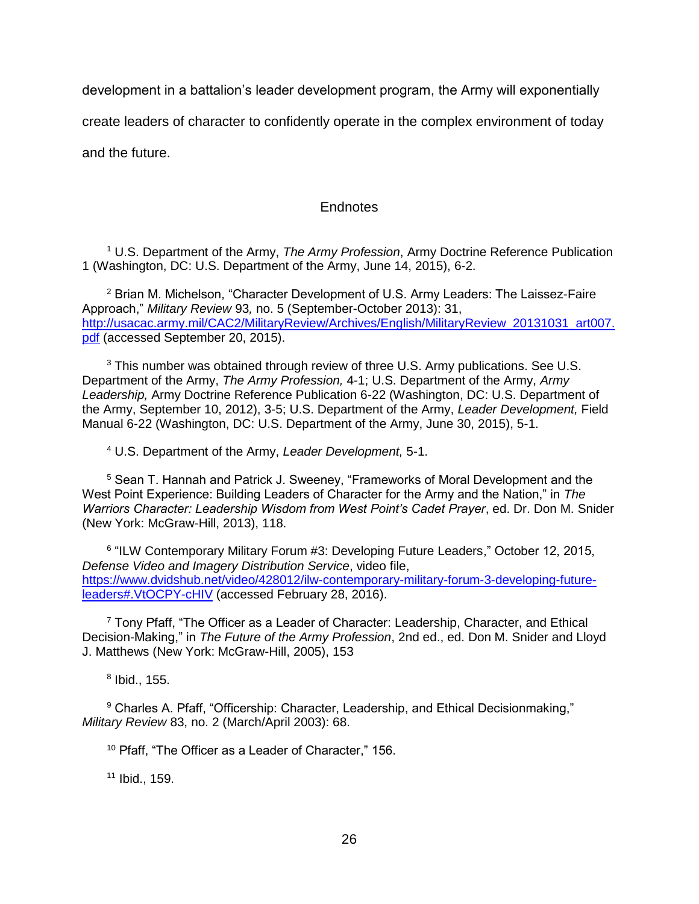development in a battalion's leader development program, the Army will exponentially

create leaders of character to confidently operate in the complex environment of today

and the future.

### **Endnotes**

<sup>1</sup> U.S. Department of the Army, *The Army Profession*, Army Doctrine Reference Publication 1 (Washington, DC: U.S. Department of the Army, June 14, 2015), 6-2.

<sup>2</sup> Brian M. Michelson, "Character Development of U.S. Army Leaders: The Laissez-Faire Approach," *Military Review* 93*,* no. 5 (September-October 2013): 31, [http://usacac.army.mil/CAC2/MilitaryReview/Archives/English/MilitaryReview\\_20131031\\_art007.](http://usacac.army.mil/CAC2/MilitaryReview/Archives/English/MilitaryReview_20131031_art007.pdf) [pdf](http://usacac.army.mil/CAC2/MilitaryReview/Archives/English/MilitaryReview_20131031_art007.pdf) (accessed September 20, 2015).

<sup>3</sup> This number was obtained through review of three U.S. Army publications. See U.S. Department of the Army, *The Army Profession,* 4-1; U.S. Department of the Army, *Army Leadership,* Army Doctrine Reference Publication 6-22 (Washington, DC: U.S. Department of the Army, September 10, 2012), 3-5; U.S. Department of the Army, *Leader Development,* Field Manual 6-22 (Washington, DC: U.S. Department of the Army, June 30, 2015), 5-1.

<sup>4</sup> U.S. Department of the Army, *Leader Development,* 5-1.

<sup>5</sup> Sean T. Hannah and Patrick J. Sweeney, "Frameworks of Moral Development and the West Point Experience: Building Leaders of Character for the Army and the Nation," in *The Warriors Character: Leadership Wisdom from West Point's Cadet Prayer*, ed. Dr. Don M. Snider (New York: McGraw-Hill, 2013), 118.

<sup>6</sup> "ILW Contemporary Military Forum #3: Developing Future Leaders," October 12, 2015, *Defense Video and Imagery Distribution Service*, video file, [https://www.dvidshub.net/video/428012/ilw-contemporary-military-forum-3-developing-future](https://www.dvidshub.net/video/428012/ilw-contemporary-military-forum-3-developing-future-leaders#.VtOCPY-cHIV)[leaders#.VtOCPY-cHIV](https://www.dvidshub.net/video/428012/ilw-contemporary-military-forum-3-developing-future-leaders#.VtOCPY-cHIV) (accessed February 28, 2016).

 $7$  Tony Pfaff, "The Officer as a Leader of Character: Leadership, Character, and Ethical Decision-Making," in *The Future of the Army Profession*, 2nd ed., ed. Don M. Snider and Lloyd J. Matthews (New York: McGraw-Hill, 2005), 153

8 Ibid., 155.

<sup>9</sup> Charles A. Pfaff, "Officership: Character, Leadership, and Ethical Decisionmaking," *Military Review* 83, no. 2 (March/April 2003): 68.

<sup>10</sup> Pfaff, "The Officer as a Leader of Character," 156.

<sup>11</sup> Ibid., 159.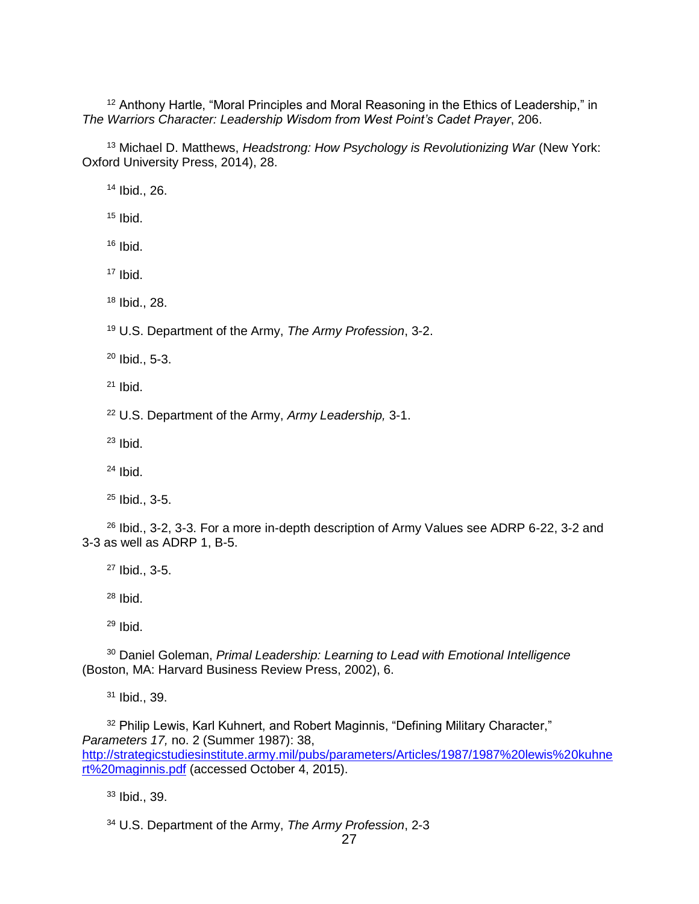<sup>12</sup> Anthony Hartle, "Moral Principles and Moral Reasoning in the Ethics of Leadership," in *The Warriors Character: Leadership Wisdom from West Point's Cadet Prayer*, 206.

 Michael D. Matthews, *Headstrong: How Psychology is Revolutionizing War* (New York: Oxford University Press, 2014), 28.

Ibid., 26.

Ibid.

Ibid.

Ibid.

Ibid., 28.

U.S. Department of the Army, *The Army Profession*, 3-2.

Ibid., 5-3.

Ibid.

U.S. Department of the Army, *Army Leadership,* 3-1.

Ibid.

Ibid.

Ibid., 3-5.

<sup>26</sup> Ibid., 3-2, 3-3. For a more in-depth description of Army Values see ADRP 6-22, 3-2 and 3-3 as well as ADRP 1, B-5.

Ibid., 3-5.

Ibid.

Ibid.

 Daniel Goleman, *Primal Leadership: Learning to Lead with Emotional Intelligence* (Boston, MA: Harvard Business Review Press, 2002), 6.

Ibid., 39.

<sup>32</sup> Philip Lewis, Karl Kuhnert, and Robert Maginnis, "Defining Military Character," *Parameters 17,* no. 2 (Summer 1987): 38, [http://strategicstudiesinstitute.army.mil/pubs/parameters/Articles/1987/1987%20lewis%20kuhne](http://strategicstudiesinstitute.army.mil/pubs/parameters/Articles/1987/1987%20lewis%20kuhnert%20maginnis.pdf) [rt%20maginnis.pdf](http://strategicstudiesinstitute.army.mil/pubs/parameters/Articles/1987/1987%20lewis%20kuhnert%20maginnis.pdf) (accessed October 4, 2015).

Ibid., 39.

U.S. Department of the Army, *The Army Profession*, 2-3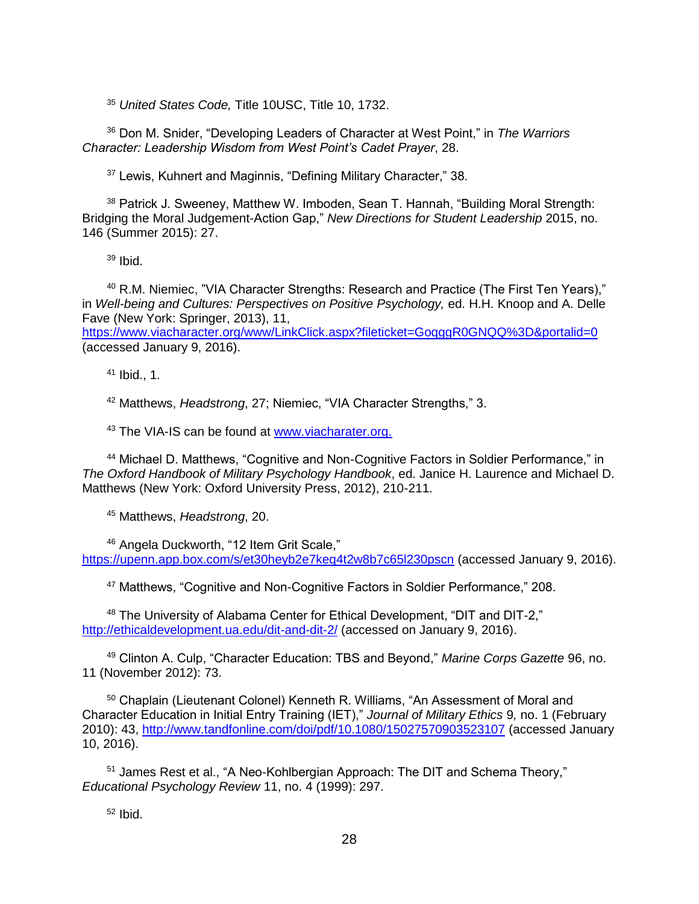<sup>35</sup> *United States Code,* Title 10USC, Title 10, 1732.

<sup>36</sup> Don M. Snider, "Developing Leaders of Character at West Point," in *The Warriors Character: Leadership Wisdom from West Point's Cadet Prayer*, 28.

<sup>37</sup> Lewis, Kuhnert and Maginnis, "Defining Military Character," 38.

<sup>38</sup> Patrick J. Sweeney, Matthew W. Imboden, Sean T. Hannah, "Building Moral Strength: Bridging the Moral Judgement-Action Gap," *New Directions for Student Leadership* 2015, no. 146 (Summer 2015): 27.

 $39$  Ibid.

<sup>40</sup> R.M. Niemiec, "VIA Character Strengths: Research and Practice (The First Ten Years)," in *Well-being and Cultures: Perspectives on Positive Psychology,* ed. H.H. Knoop and A. Delle Fave (New York: Springer, 2013), 11,

<https://www.viacharacter.org/www/LinkClick.aspx?fileticket=GoqggR0GNQQ%3D&portalid=0> (accessed January 9, 2016).

<sup>41</sup> Ibid., 1.

<sup>42</sup> Matthews, *Headstrong*, 27; Niemiec, "VIA Character Strengths," 3.

<sup>43</sup> The VIA-IS can be found at [www.viacharater.org.](http://www.viacharater.org/)

<sup>44</sup> Michael D. Matthews, "Cognitive and Non-Cognitive Factors in Soldier Performance," in *The Oxford Handbook of Military Psychology Handbook*, ed. Janice H. Laurence and Michael D. Matthews (New York: Oxford University Press, 2012), 210-211.

<sup>45</sup> Matthews, *Headstrong*, 20.

<sup>46</sup> Angela Duckworth, "12 Item Grit Scale," <https://upenn.app.box.com/s/et30heyb2e7keq4t2w8b7c65l230pscn> (accessed January 9, 2016).

<sup>47</sup> Matthews, "Cognitive and Non-Cognitive Factors in Soldier Performance," 208.

48 The University of Alabama Center for Ethical Development, "DIT and DIT-2," <http://ethicaldevelopment.ua.edu/dit-and-dit-2/> (accessed on January 9, 2016).

<sup>49</sup> Clinton A. Culp, "Character Education: TBS and Beyond," *Marine Corps Gazette* 96, no. 11 (November 2012): 73.

<sup>50</sup> Chaplain (Lieutenant Colonel) Kenneth R. Williams, "An Assessment of Moral and Character Education in Initial Entry Training (IET)," *Journal of Military Ethics* 9*,* no. 1 (February 2010): 43, <http://www.tandfonline.com/doi/pdf/10.1080/15027570903523107> (accessed January 10, 2016).

<sup>51</sup> James Rest et al., "A Neo-Kohlbergian Approach: The DIT and Schema Theory," *Educational Psychology Review* 11, no. 4 (1999): 297.

 $52$  Ibid.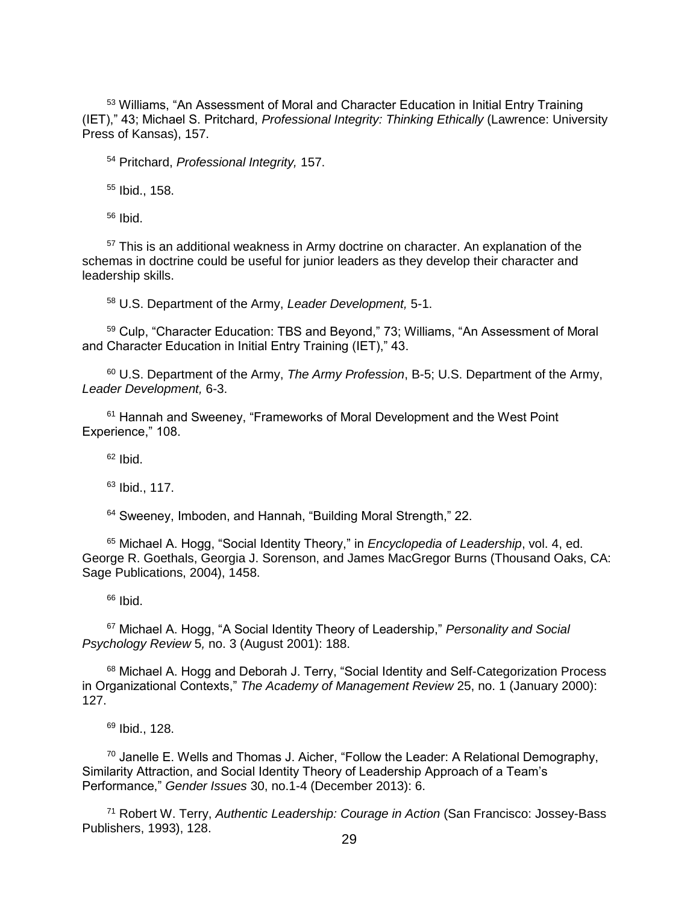<sup>53</sup> Williams, "An Assessment of Moral and Character Education in Initial Entry Training (IET)," 43; Michael S. Pritchard, *Professional Integrity: Thinking Ethically* (Lawrence: University Press of Kansas), 157.

<sup>54</sup> Pritchard, *Professional Integrity,* 157.

<sup>55</sup> Ibid., 158.

 $56$  Ibid.

<sup>57</sup> This is an additional weakness in Army doctrine on character. An explanation of the schemas in doctrine could be useful for junior leaders as they develop their character and leadership skills.

<sup>58</sup> U.S. Department of the Army, *Leader Development,* 5-1.

<sup>59</sup> Culp, "Character Education: TBS and Beyond," 73; Williams, "An Assessment of Moral and Character Education in Initial Entry Training (IET)," 43.

<sup>60</sup> U.S. Department of the Army, *The Army Profession*, B-5; U.S. Department of the Army, *Leader Development,* 6-3.

<sup>61</sup> Hannah and Sweeney, "Frameworks of Moral Development and the West Point Experience," 108.

 $62$  Ibid.

 $63$  Ibid., 117.

<sup>64</sup> Sweeney, Imboden, and Hannah, "Building Moral Strength," 22.

<sup>65</sup> Michael A. Hogg, "Social Identity Theory," in *Encyclopedia of Leadership*, vol. 4, ed. George R. Goethals, Georgia J. Sorenson, and James MacGregor Burns (Thousand Oaks, CA: Sage Publications, 2004), 1458.

 $66$  Ibid.

<sup>67</sup> Michael A. Hogg, "A Social Identity Theory of Leadership," *Personality and Social Psychology Review* 5*,* no. 3 (August 2001): 188.

<sup>68</sup> Michael A. Hogg and Deborah J. Terry, "Social Identity and Self-Categorization Process in Organizational Contexts," *The Academy of Management Review* 25, no. 1 (January 2000): 127.

<sup>69</sup> Ibid., 128.

 $70$  Janelle E. Wells and Thomas J. Aicher, "Follow the Leader: A Relational Demography, Similarity Attraction, and Social Identity Theory of Leadership Approach of a Team's Performance," *Gender Issues* 30, no.1-4 (December 2013): 6.

<sup>71</sup> Robert W. Terry, *Authentic Leadership: Courage in Action* (San Francisco: Jossey-Bass Publishers, 1993), 128.